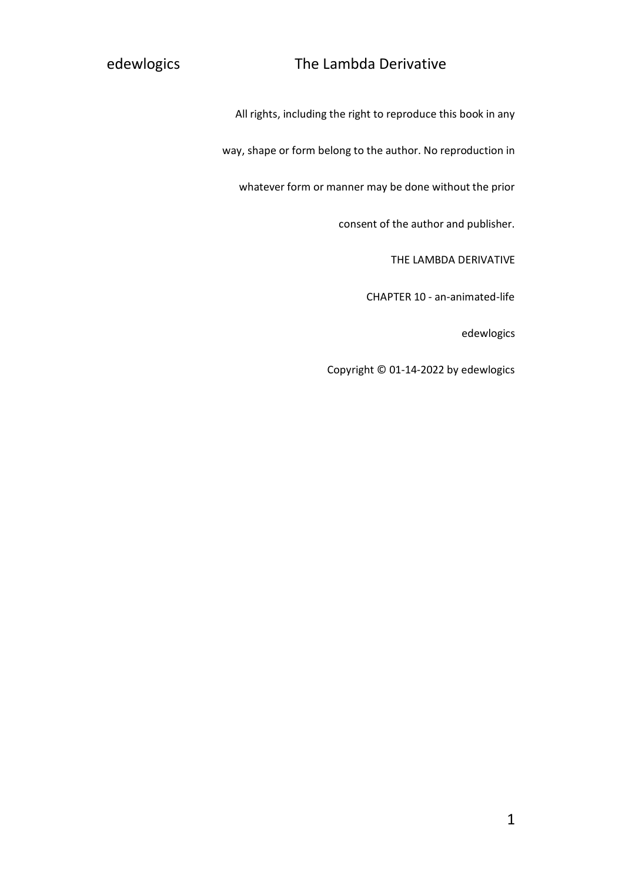All rights, including the right to reproduce this book in any

way, shape or form belong to the author. No reproduction in

whatever form or manner may be done without the prior

consent of the author and publisher.

THE LAMBDA DERIVATIVE

CHAPTER 10 - an-animated-life

edewlogics

Copyright © 01-14-2022 by edewlogics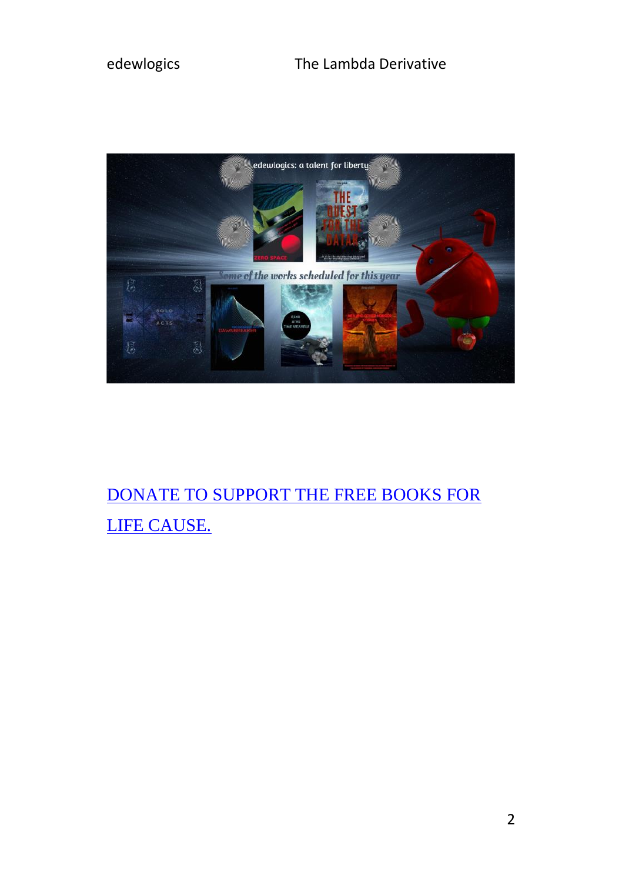

## DONATE TO SUPPORT THE FREE BOOKS FOR [LIFE CAUSE.](https://www.paypal.com/donate/?hosted_button_id=R8JW8VU5J2GE8)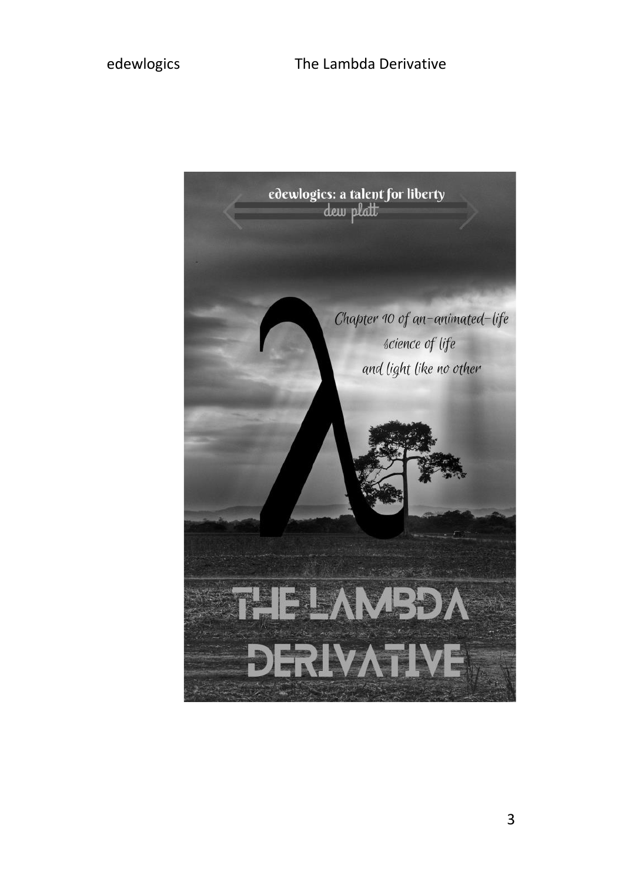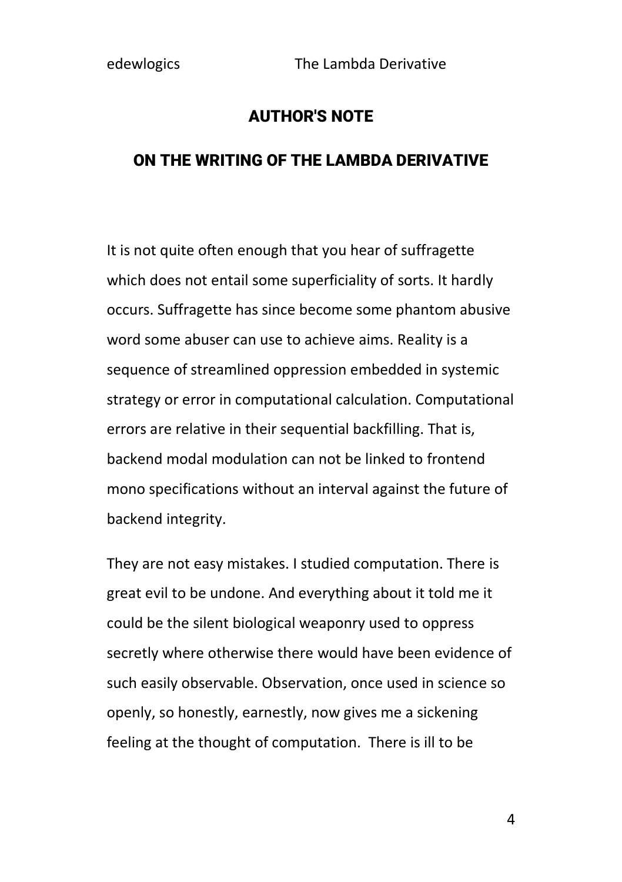### AUTHOR'S NOTE

#### ON THE WRITING OF THE LAMBDA DERIVATIVE

It is not quite often enough that you hear of suffragette which does not entail some superficiality of sorts. It hardly occurs. Suffragette has since become some phantom abusive word some abuser can use to achieve aims. Reality is a sequence of streamlined oppression embedded in systemic strategy or error in computational calculation. Computational errors are relative in their sequential backfilling. That is, backend modal modulation can not be linked to frontend mono specifications without an interval against the future of backend integrity.

They are not easy mistakes. I studied computation. There is great evil to be undone. And everything about it told me it could be the silent biological weaponry used to oppress secretly where otherwise there would have been evidence of such easily observable. Observation, once used in science so openly, so honestly, earnestly, now gives me a sickening feeling at the thought of computation. There is ill to be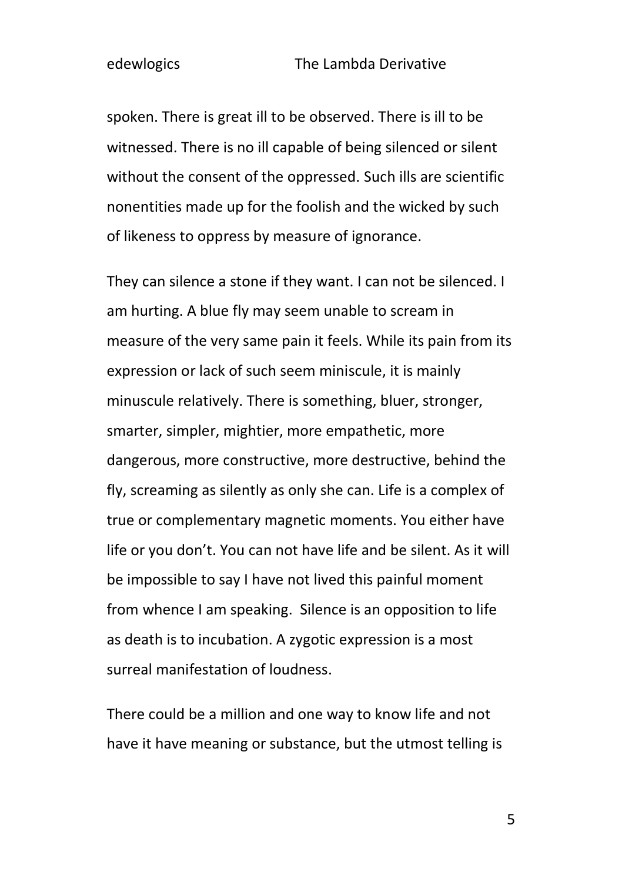spoken. There is great ill to be observed. There is ill to be witnessed. There is no ill capable of being silenced or silent without the consent of the oppressed. Such ills are scientific nonentities made up for the foolish and the wicked by such of likeness to oppress by measure of ignorance.

They can silence a stone if they want. I can not be silenced. I am hurting. A blue fly may seem unable to scream in measure of the very same pain it feels. While its pain from its expression or lack of such seem miniscule, it is mainly minuscule relatively. There is something, bluer, stronger, smarter, simpler, mightier, more empathetic, more dangerous, more constructive, more destructive, behind the fly, screaming as silently as only she can. Life is a complex of true or complementary magnetic moments. You either have life or you don't. You can not have life and be silent. As it will be impossible to say I have not lived this painful moment from whence I am speaking. Silence is an opposition to life as death is to incubation. A zygotic expression is a most surreal manifestation of loudness.

There could be a million and one way to know life and not have it have meaning or substance, but the utmost telling is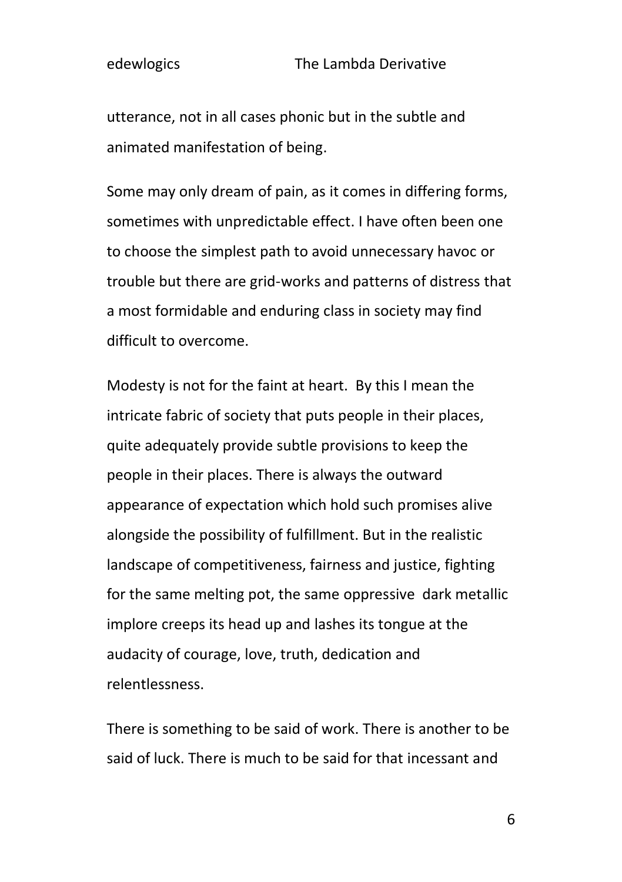utterance, not in all cases phonic but in the subtle and animated manifestation of being.

Some may only dream of pain, as it comes in differing forms, sometimes with unpredictable effect. I have often been one to choose the simplest path to avoid unnecessary havoc or trouble but there are grid-works and patterns of distress that a most formidable and enduring class in society may find difficult to overcome.

Modesty is not for the faint at heart. By this I mean the intricate fabric of society that puts people in their places, quite adequately provide subtle provisions to keep the people in their places. There is always the outward appearance of expectation which hold such promises alive alongside the possibility of fulfillment. But in the realistic landscape of competitiveness, fairness and justice, fighting for the same melting pot, the same oppressive dark metallic implore creeps its head up and lashes its tongue at the audacity of courage, love, truth, dedication and relentlessness.

There is something to be said of work. There is another to be said of luck. There is much to be said for that incessant and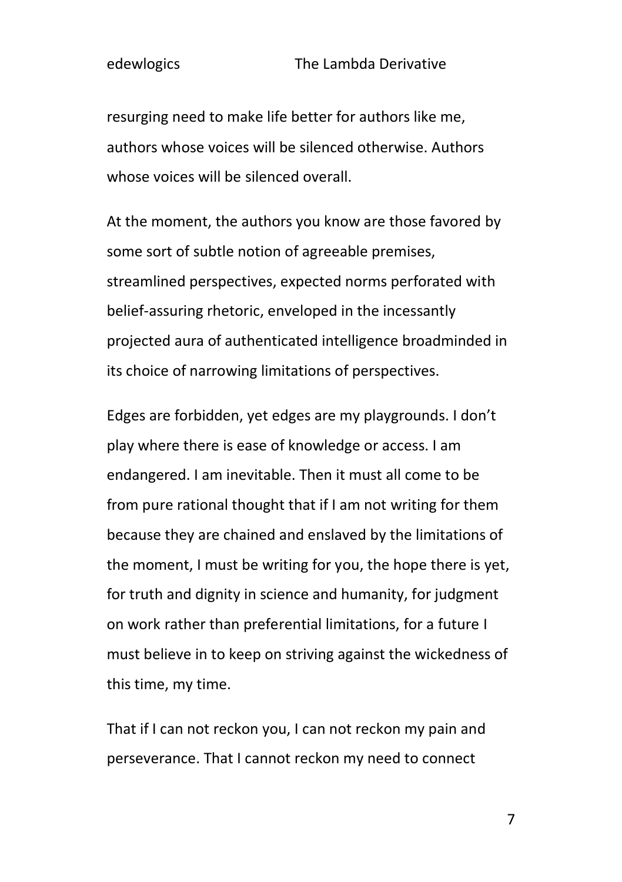resurging need to make life better for authors like me, authors whose voices will be silenced otherwise. Authors whose voices will be silenced overall.

At the moment, the authors you know are those favored by some sort of subtle notion of agreeable premises, streamlined perspectives, expected norms perforated with belief-assuring rhetoric, enveloped in the incessantly projected aura of authenticated intelligence broadminded in its choice of narrowing limitations of perspectives.

Edges are forbidden, yet edges are my playgrounds. I don't play where there is ease of knowledge or access. I am endangered. I am inevitable. Then it must all come to be from pure rational thought that if I am not writing for them because they are chained and enslaved by the limitations of the moment, I must be writing for you, the hope there is yet, for truth and dignity in science and humanity, for judgment on work rather than preferential limitations, for a future I must believe in to keep on striving against the wickedness of this time, my time.

That if I can not reckon you, I can not reckon my pain and perseverance. That I cannot reckon my need to connect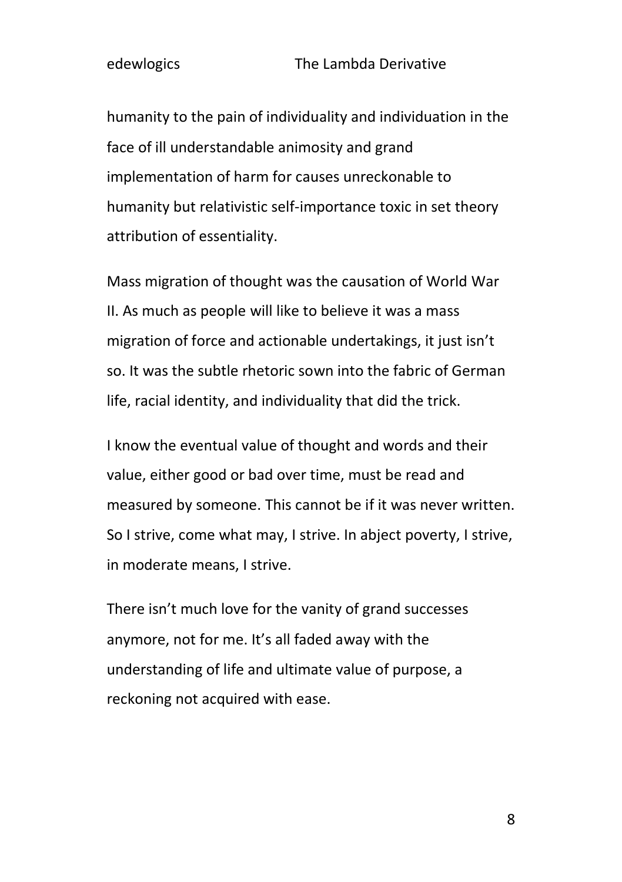humanity to the pain of individuality and individuation in the face of ill understandable animosity and grand implementation of harm for causes unreckonable to humanity but relativistic self-importance toxic in set theory attribution of essentiality.

Mass migration of thought was the causation of World War II. As much as people will like to believe it was a mass migration of force and actionable undertakings, it just isn't so. It was the subtle rhetoric sown into the fabric of German life, racial identity, and individuality that did the trick.

I know the eventual value of thought and words and their value, either good or bad over time, must be read and measured by someone. This cannot be if it was never written. So I strive, come what may, I strive. In abject poverty, I strive, in moderate means, I strive.

There isn't much love for the vanity of grand successes anymore, not for me. It's all faded away with the understanding of life and ultimate value of purpose, a reckoning not acquired with ease.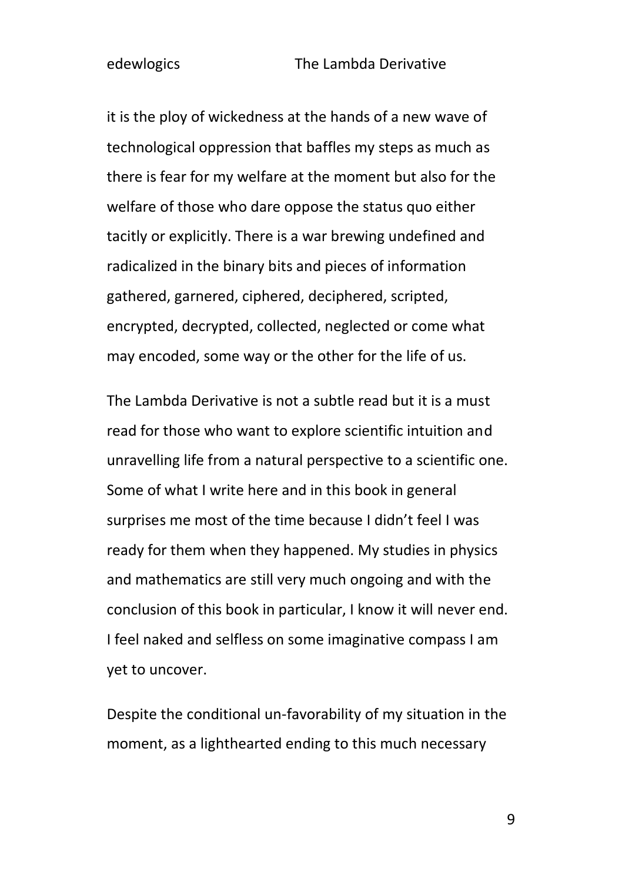it is the ploy of wickedness at the hands of a new wave of technological oppression that baffles my steps as much as there is fear for my welfare at the moment but also for the welfare of those who dare oppose the status quo either tacitly or explicitly. There is a war brewing undefined and radicalized in the binary bits and pieces of information gathered, garnered, ciphered, deciphered, scripted, encrypted, decrypted, collected, neglected or come what may encoded, some way or the other for the life of us.

The Lambda Derivative is not a subtle read but it is a must read for those who want to explore scientific intuition and unravelling life from a natural perspective to a scientific one. Some of what I write here and in this book in general surprises me most of the time because I didn't feel I was ready for them when they happened. My studies in physics and mathematics are still very much ongoing and with the conclusion of this book in particular, I know it will never end. I feel naked and selfless on some imaginative compass I am yet to uncover.

Despite the conditional un-favorability of my situation in the moment, as a lighthearted ending to this much necessary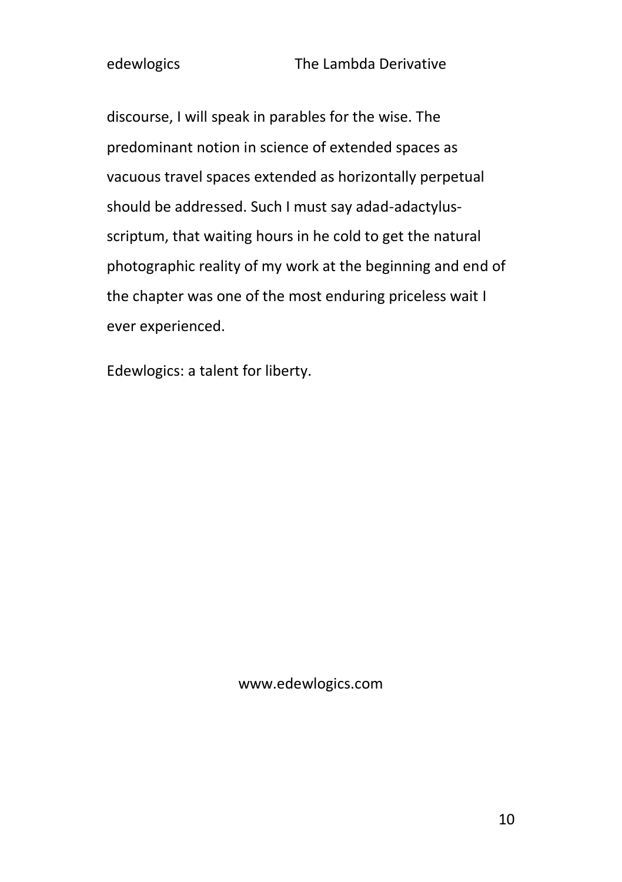discourse, I will speak in parables for the wise. The predominant notion in science of extended spaces as vacuous travel spaces extended as horizontally perpetual should be addressed. Such I must say adad-adactylusscriptum, that waiting hours in he cold to get the natural photographic reality of my work at the beginning and end of the chapter was one of the most enduring priceless wait I ever experienced.

Edewlogics: a talent for liberty.

www.edewlogics.com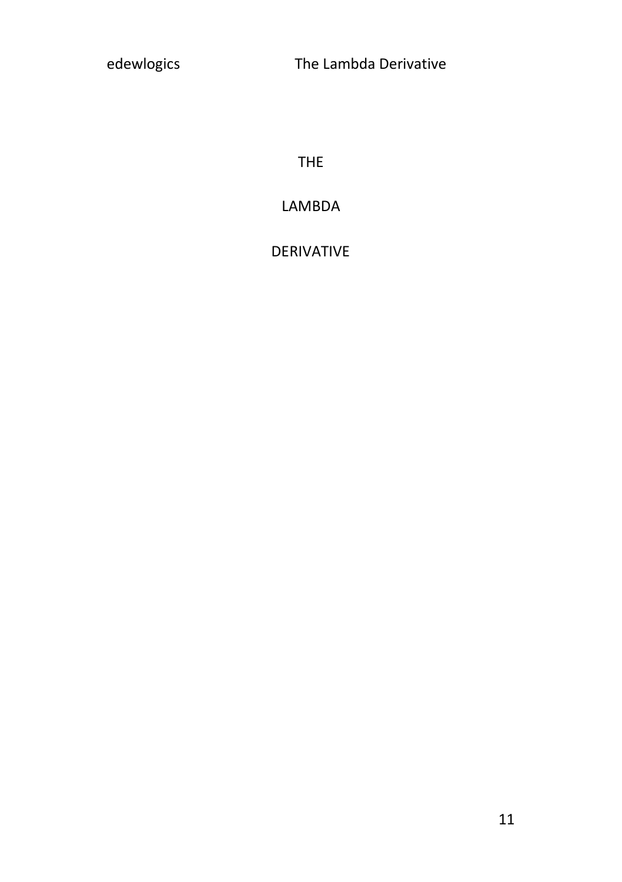THE

## LAMBDA

### DERIVATIVE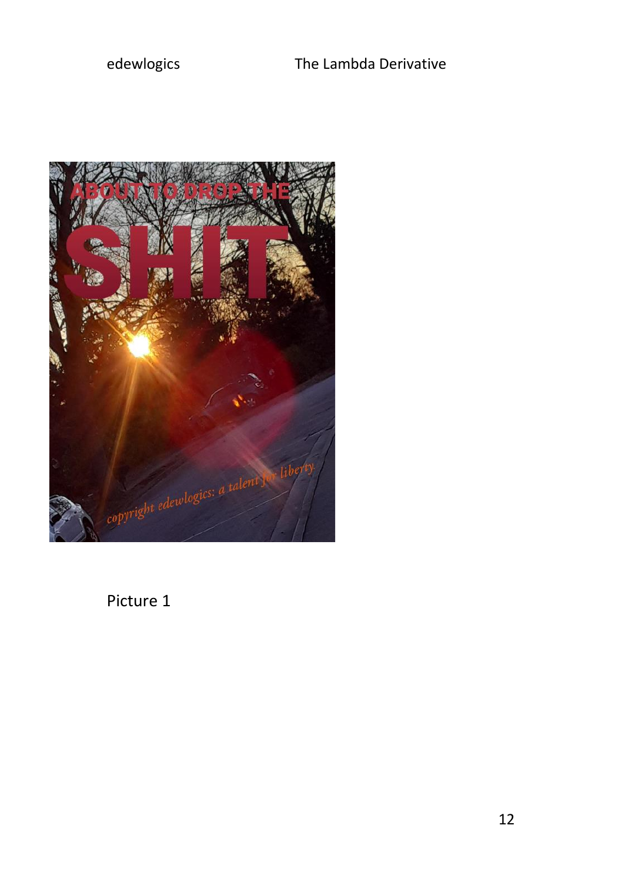

Picture 1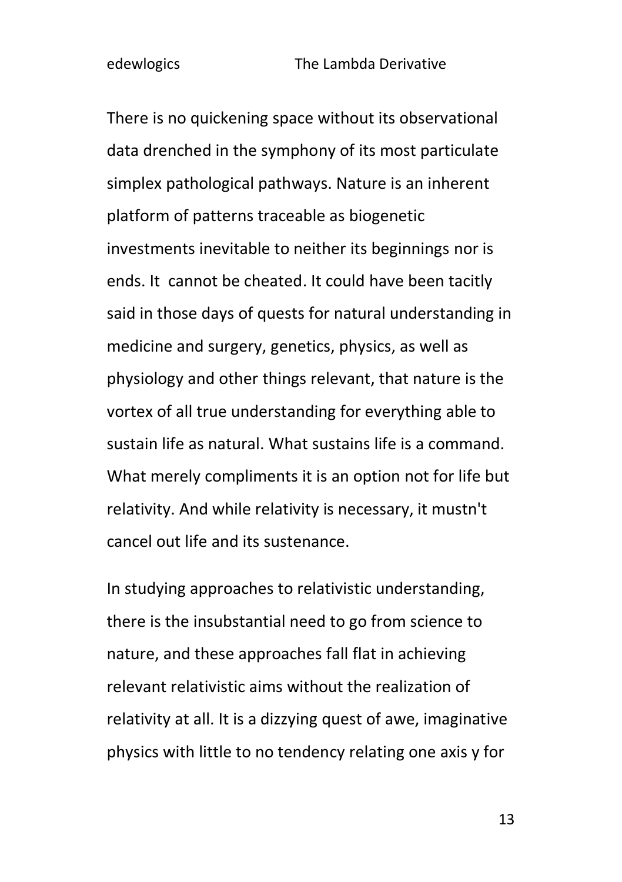There is no quickening space without its observational data drenched in the symphony of its most particulate simplex pathological pathways. Nature is an inherent platform of patterns traceable as biogenetic investments inevitable to neither its beginnings nor is ends. It cannot be cheated. It could have been tacitly said in those days of quests for natural understanding in medicine and surgery, genetics, physics, as well as physiology and other things relevant, that nature is the vortex of all true understanding for everything able to sustain life as natural. What sustains life is a command. What merely compliments it is an option not for life but relativity. And while relativity is necessary, it mustn't cancel out life and its sustenance.

In studying approaches to relativistic understanding, there is the insubstantial need to go from science to nature, and these approaches fall flat in achieving relevant relativistic aims without the realization of relativity at all. It is a dizzying quest of awe, imaginative physics with little to no tendency relating one axis y for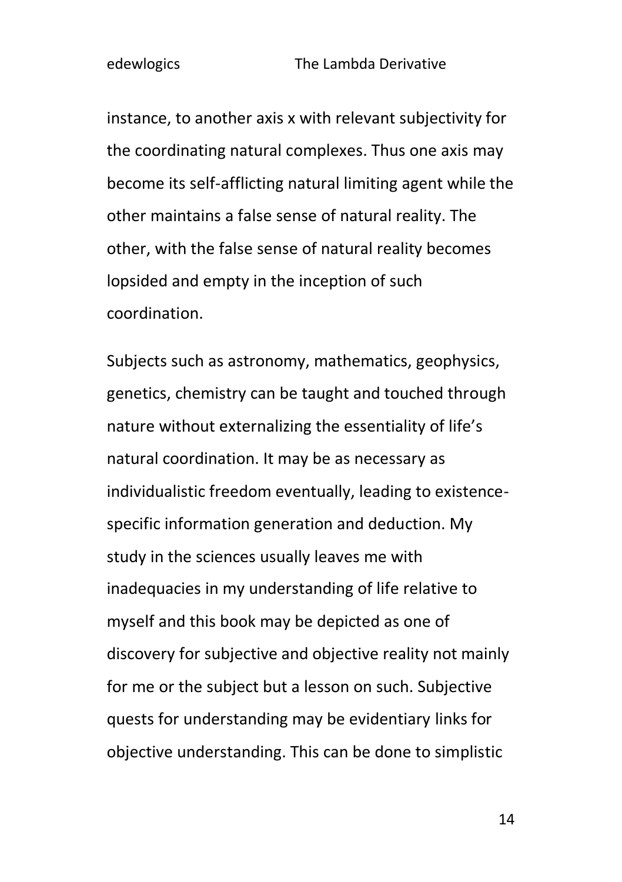instance, to another axis x with relevant subjectivity for the coordinating natural complexes. Thus one axis may become its self-afflicting natural limiting agent while the other maintains a false sense of natural reality. The other, with the false sense of natural reality becomes lopsided and empty in the inception of such coordination.

Subjects such as astronomy, mathematics, geophysics, genetics, chemistry can be taught and touched through nature without externalizing the essentiality of life's natural coordination. It may be as necessary as individualistic freedom eventually, leading to existencespecific information generation and deduction. My study in the sciences usually leaves me with inadequacies in my understanding of life relative to myself and this book may be depicted as one of discovery for subjective and objective reality not mainly for me or the subject but a lesson on such. Subjective quests for understanding may be evidentiary links for objective understanding. This can be done to simplistic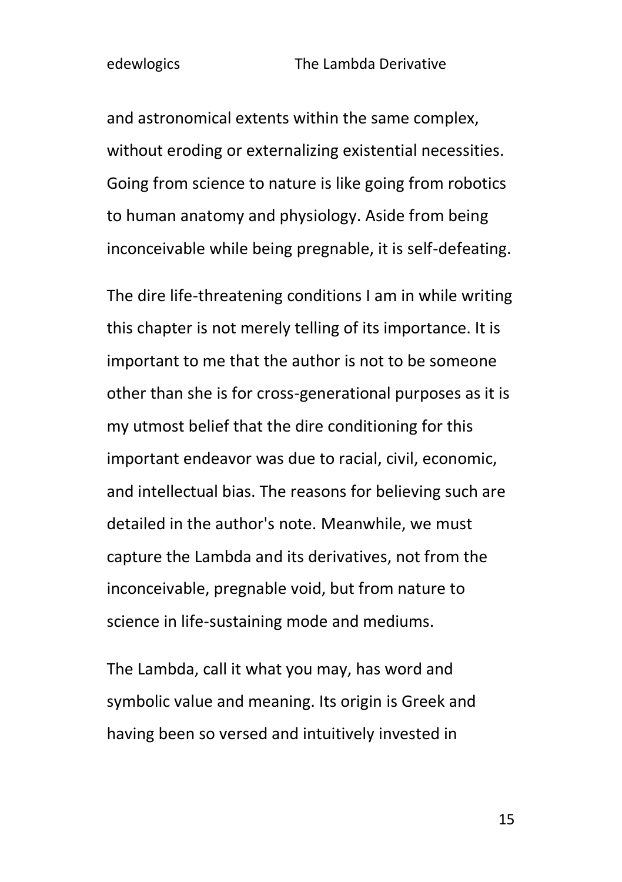and astronomical extents within the same complex, without eroding or externalizing existential necessities. Going from science to nature is like going from robotics to human anatomy and physiology. Aside from being inconceivable while being pregnable, it is self-defeating.

The dire life-threatening conditions I am in while writing this chapter is not merely telling of its importance. It is important to me that the author is not to be someone other than she is for cross-generational purposes as it is my utmost belief that the dire conditioning for this important endeavor was due to racial, civil, economic, and intellectual bias. The reasons for believing such are detailed in the author's note. Meanwhile, we must capture the Lambda and its derivatives, not from the inconceivable, pregnable void, but from nature to science in life-sustaining mode and mediums.

The Lambda, call it what you may, has word and symbolic value and meaning. Its origin is Greek and having been so versed and intuitively invested in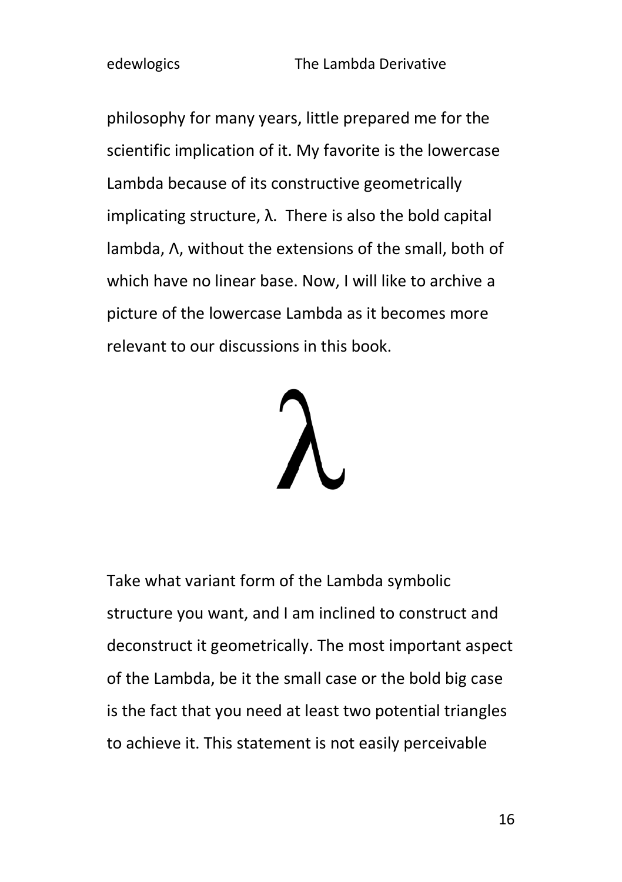philosophy for many years, little prepared me for the scientific implication of it. My favorite is the lowercase Lambda because of its constructive geometrically implicating structure,  $\lambda$ . There is also the bold capital lambda, Λ, without the extensions of the small, both of which have no linear base. Now, I will like to archive a picture of the lowercase Lambda as it becomes more relevant to our discussions in this book.



Take what variant form of the Lambda symbolic structure you want, and I am inclined to construct and deconstruct it geometrically. The most important aspect of the Lambda, be it the small case or the bold big case is the fact that you need at least two potential triangles to achieve it. This statement is not easily perceivable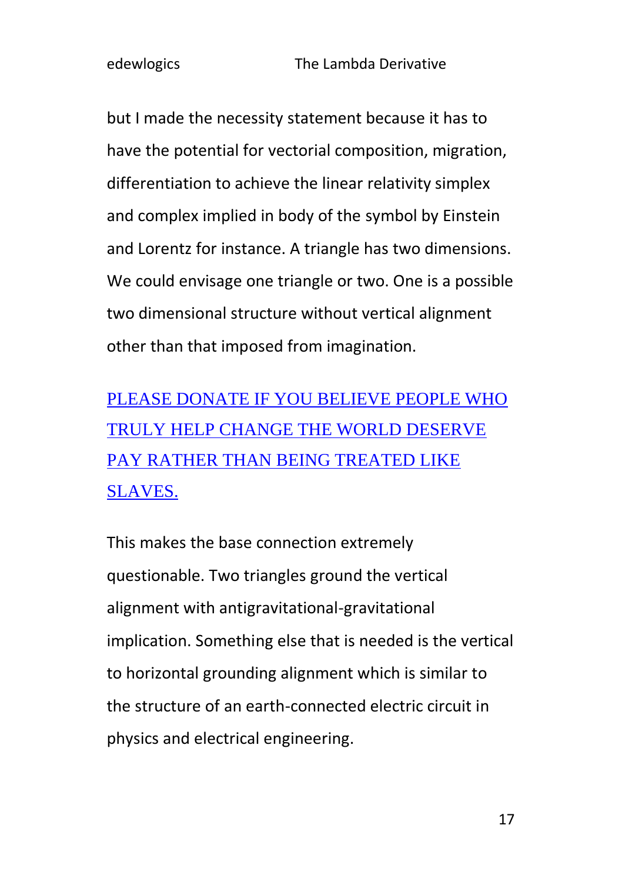but I made the necessity statement because it has to have the potential for vectorial composition, migration, differentiation to achieve the linear relativity simplex and complex implied in body of the symbol by Einstein and Lorentz for instance. A triangle has two dimensions. We could envisage one triangle or two. One is a possible two dimensional structure without vertical alignment other than that imposed from imagination.

[PLEASE DONATE IF YOU BELIEVE PEOPLE WHO](https://www.paypal.com/donate/?hosted_button_id=R8JW8VU5J2GE8)  [TRULY HELP CHANGE THE WORLD DESERVE](https://www.paypal.com/donate/?hosted_button_id=R8JW8VU5J2GE8)  [PAY RATHER THAN BEING TREATED LIKE](https://www.paypal.com/donate/?hosted_button_id=R8JW8VU5J2GE8)  [SLAVES.](https://www.paypal.com/donate/?hosted_button_id=R8JW8VU5J2GE8)

This makes the base connection extremely questionable. Two triangles ground the vertical alignment with antigravitational-gravitational implication. Something else that is needed is the vertical to horizontal grounding alignment which is similar to the structure of an earth-connected electric circuit in physics and electrical engineering.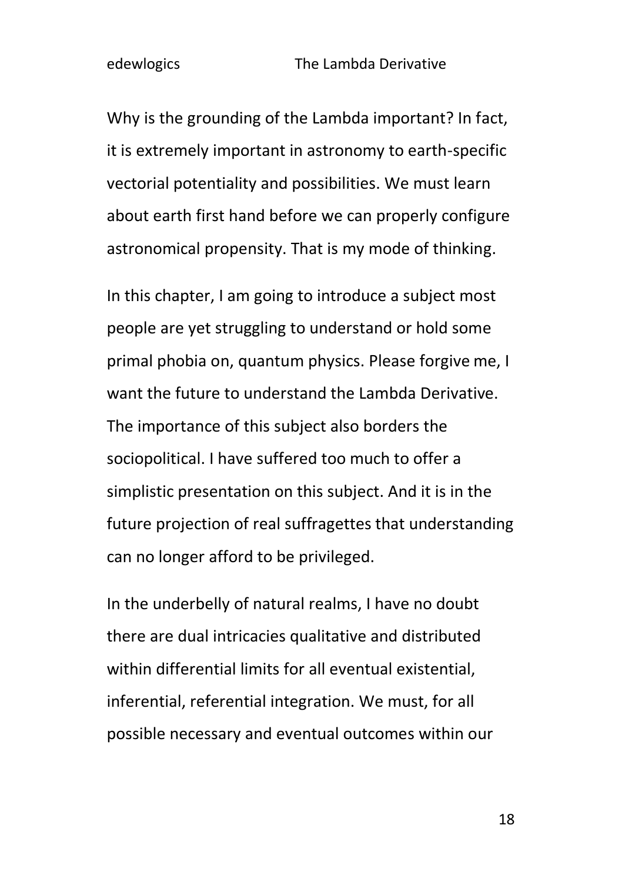Why is the grounding of the Lambda important? In fact, it is extremely important in astronomy to earth-specific vectorial potentiality and possibilities. We must learn about earth first hand before we can properly configure astronomical propensity. That is my mode of thinking.

In this chapter, I am going to introduce a subject most people are yet struggling to understand or hold some primal phobia on, quantum physics. Please forgive me, I want the future to understand the Lambda Derivative. The importance of this subject also borders the sociopolitical. I have suffered too much to offer a simplistic presentation on this subject. And it is in the future projection of real suffragettes that understanding can no longer afford to be privileged.

In the underbelly of natural realms, I have no doubt there are dual intricacies qualitative and distributed within differential limits for all eventual existential, inferential, referential integration. We must, for all possible necessary and eventual outcomes within our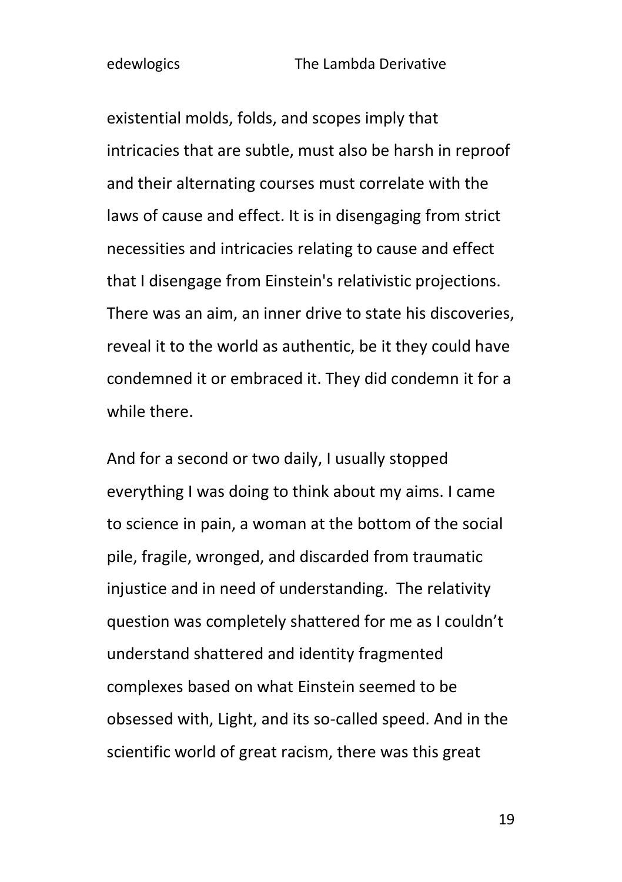existential molds, folds, and scopes imply that intricacies that are subtle, must also be harsh in reproof and their alternating courses must correlate with the laws of cause and effect. It is in disengaging from strict necessities and intricacies relating to cause and effect that I disengage from Einstein's relativistic projections. There was an aim, an inner drive to state his discoveries, reveal it to the world as authentic, be it they could have condemned it or embraced it. They did condemn it for a while there.

And for a second or two daily, I usually stopped everything I was doing to think about my aims. I came to science in pain, a woman at the bottom of the social pile, fragile, wronged, and discarded from traumatic injustice and in need of understanding. The relativity question was completely shattered for me as I couldn't understand shattered and identity fragmented complexes based on what Einstein seemed to be obsessed with, Light, and its so-called speed. And in the scientific world of great racism, there was this great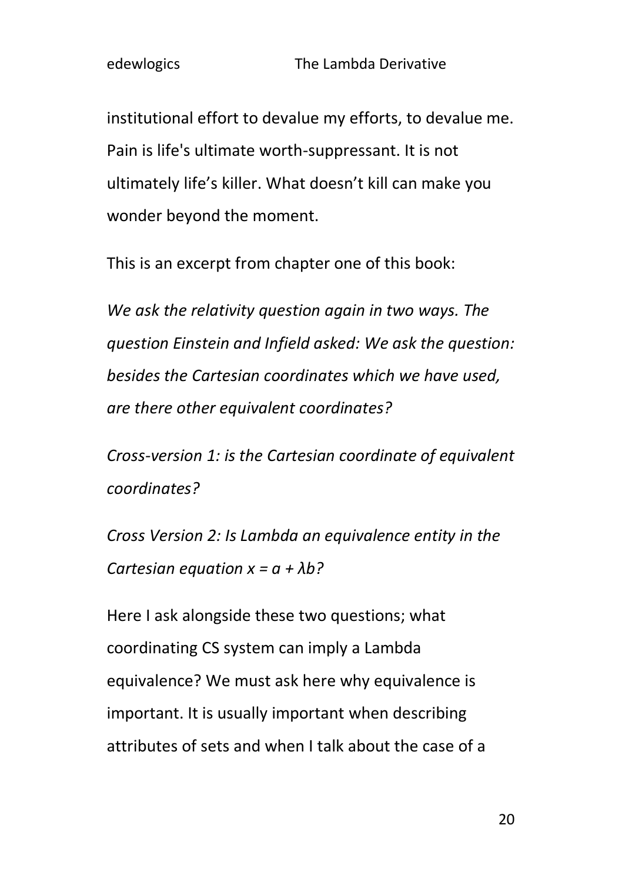institutional effort to devalue my efforts, to devalue me. Pain is life's ultimate worth-suppressant. It is not ultimately life's killer. What doesn't kill can make you wonder beyond the moment.

This is an excerpt from chapter one of this book:

*We ask the relativity question again in two ways. The question Einstein and Infield asked: We ask the question: besides the Cartesian coordinates which we have used, are there other equivalent coordinates?*

*Cross-version 1: is the Cartesian coordinate of equivalent coordinates?*

*Cross Version 2: Is Lambda an equivalence entity in the Cartesian equation x = a + λb?*

Here I ask alongside these two questions; what coordinating CS system can imply a Lambda equivalence? We must ask here why equivalence is important. It is usually important when describing attributes of sets and when I talk about the case of a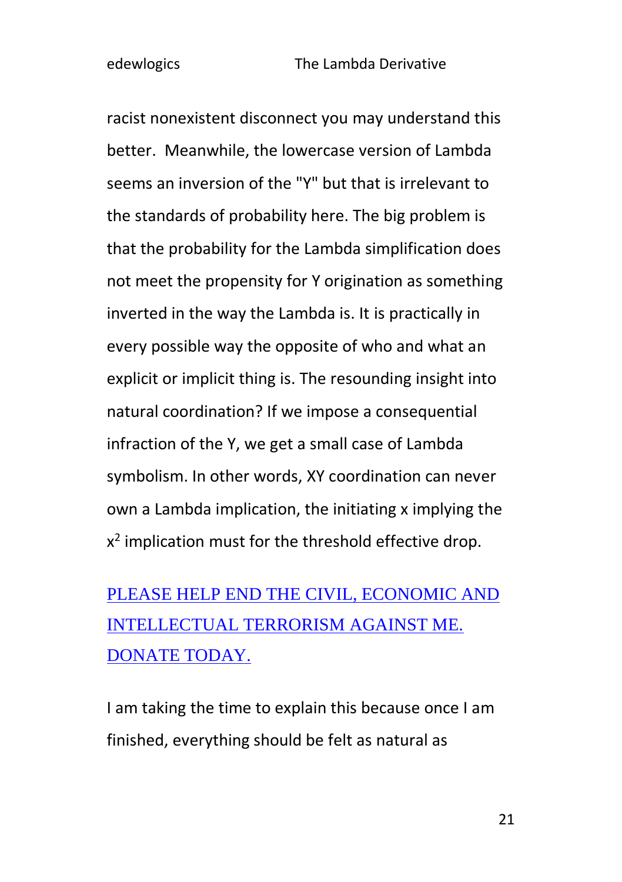racist nonexistent disconnect you may understand this better. Meanwhile, the lowercase version of Lambda seems an inversion of the "Y" but that is irrelevant to the standards of probability here. The big problem is that the probability for the Lambda simplification does not meet the propensity for Y origination as something inverted in the way the Lambda is. It is practically in every possible way the opposite of who and what an explicit or implicit thing is. The resounding insight into natural coordination? If we impose a consequential infraction of the Y, we get a small case of Lambda symbolism. In other words, XY coordination can never own a Lambda implication, the initiating x implying the  $x^2$  implication must for the threshold effective drop.

## [PLEASE HELP END THE CIVIL, ECONOMIC AND](https://www.paypal.com/donate/?hosted_button_id=R8JW8VU5J2GE8)  [INTELLECTUAL TERRORISM AGAINST ME.](https://www.paypal.com/donate/?hosted_button_id=R8JW8VU5J2GE8)  [DONATE TODAY.](https://www.paypal.com/donate/?hosted_button_id=R8JW8VU5J2GE8)

I am taking the time to explain this because once I am finished, everything should be felt as natural as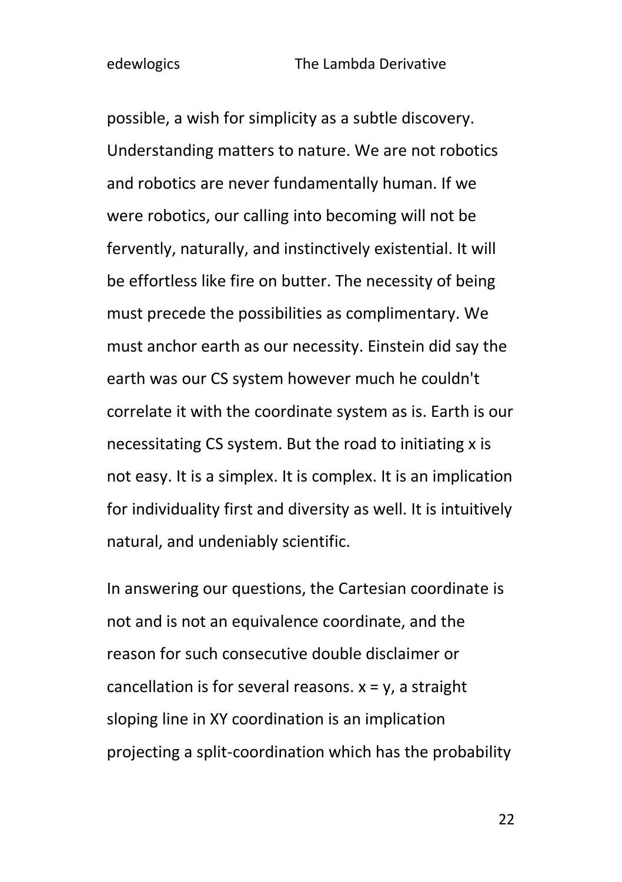possible, a wish for simplicity as a subtle discovery. Understanding matters to nature. We are not robotics and robotics are never fundamentally human. If we were robotics, our calling into becoming will not be fervently, naturally, and instinctively existential. It will be effortless like fire on butter. The necessity of being must precede the possibilities as complimentary. We must anchor earth as our necessity. Einstein did say the earth was our CS system however much he couldn't correlate it with the coordinate system as is. Earth is our necessitating CS system. But the road to initiating x is not easy. It is a simplex. It is complex. It is an implication for individuality first and diversity as well. It is intuitively natural, and undeniably scientific.

In answering our questions, the Cartesian coordinate is not and is not an equivalence coordinate, and the reason for such consecutive double disclaimer or cancellation is for several reasons.  $x = y$ , a straight sloping line in XY coordination is an implication projecting a split-coordination which has the probability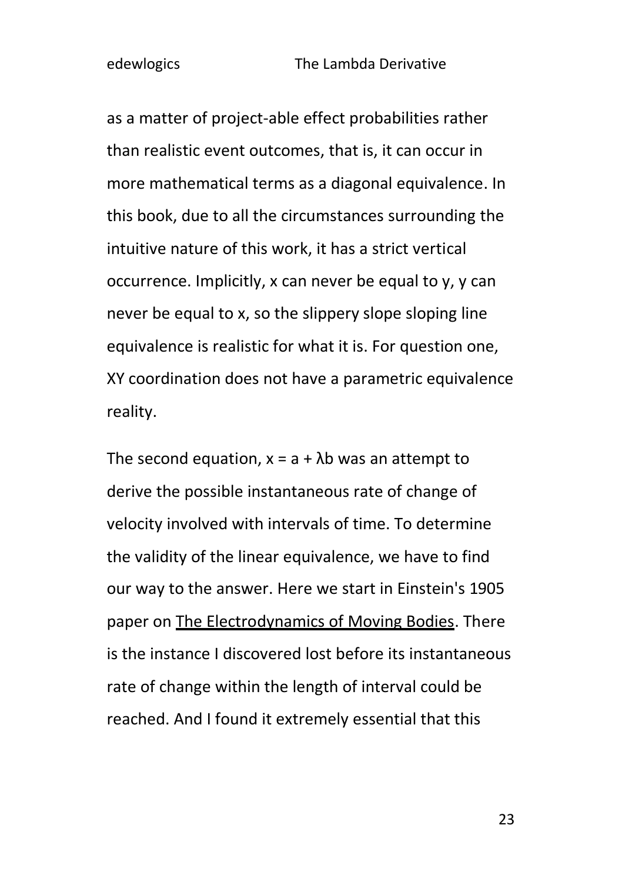as a matter of project-able effect probabilities rather than realistic event outcomes, that is, it can occur in more mathematical terms as a diagonal equivalence. In this book, due to all the circumstances surrounding the intuitive nature of this work, it has a strict vertical occurrence. Implicitly, x can never be equal to y, y can never be equal to x, so the slippery slope sloping line equivalence is realistic for what it is. For question one, XY coordination does not have a parametric equivalence reality.

The second equation,  $x = a + \lambda b$  was an attempt to derive the possible instantaneous rate of change of velocity involved with intervals of time. To determine the validity of the linear equivalence, we have to find our way to the answer. Here we start in Einstein's 1905 paper on The Electrodynamics of Moving Bodies. There is the instance I discovered lost before its instantaneous rate of change within the length of interval could be reached. And I found it extremely essential that this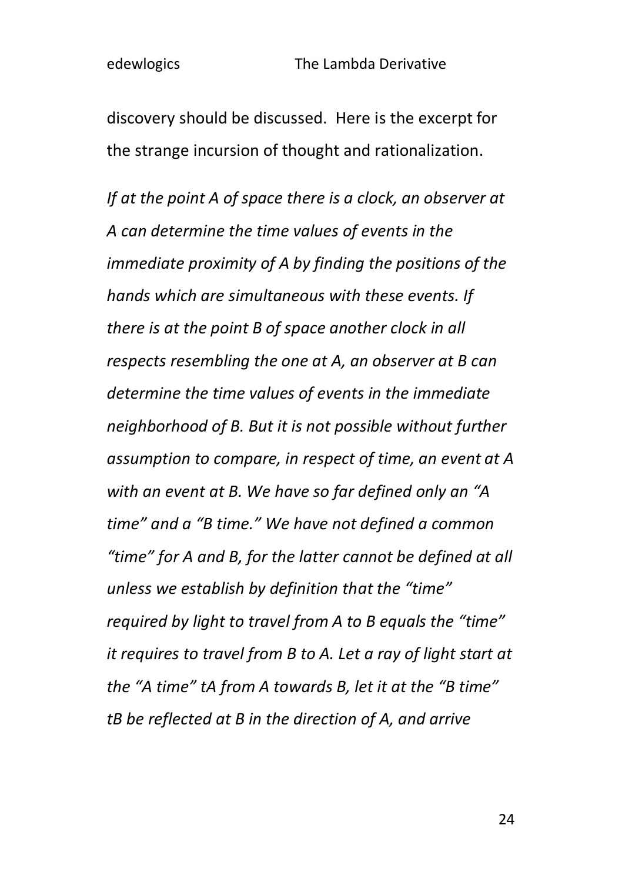discovery should be discussed. Here is the excerpt for the strange incursion of thought and rationalization.

*If at the point A of space there is a clock, an observer at A can determine the time values of events in the immediate proximity of A by finding the positions of the hands which are simultaneous with these events. If there is at the point B of space another clock in all respects resembling the one at A, an observer at B can determine the time values of events in the immediate neighborhood of B. But it is not possible without further assumption to compare, in respect of time, an event at A with an event at B. We have so far defined only an "A time" and a "B time." We have not defined a common "time" for A and B, for the latter cannot be defined at all unless we establish by definition that the "time" required by light to travel from A to B equals the "time" it requires to travel from B to A. Let a ray of light start at the "A time" tA from A towards B, let it at the "B time" tB be reflected at B in the direction of A, and arrive*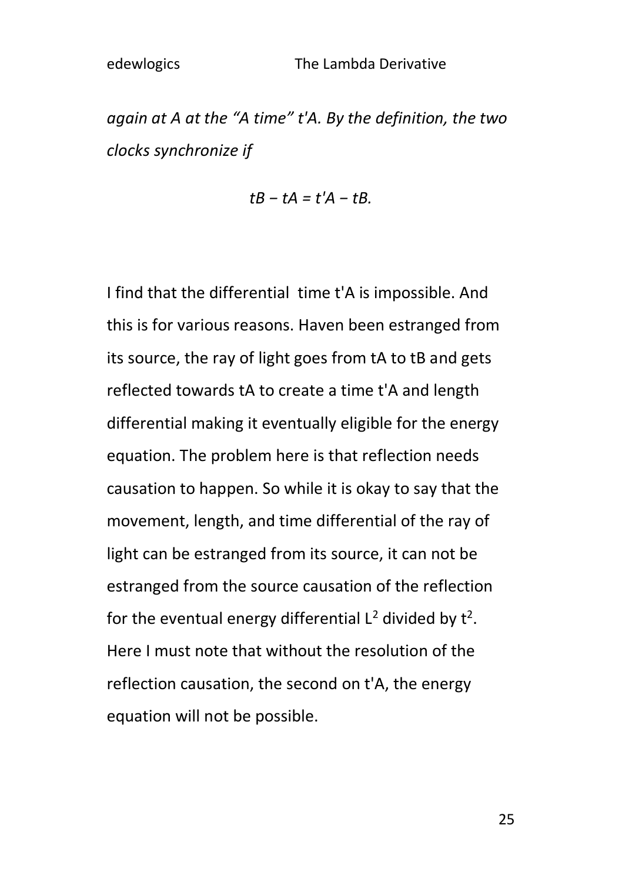*again at A at the "A time" t'A. By the definition, the two clocks synchronize if* 

$$
tB-tA=t'A-tB.
$$

I find that the differential time t'A is impossible. And this is for various reasons. Haven been estranged from its source, the ray of light goes from tA to tB and gets reflected towards tA to create a time t'A and length differential making it eventually eligible for the energy equation. The problem here is that reflection needs causation to happen. So while it is okay to say that the movement, length, and time differential of the ray of light can be estranged from its source, it can not be estranged from the source causation of the reflection for the eventual energy differential  $L^2$  divided by  $t^2$ . Here I must note that without the resolution of the reflection causation, the second on t'A, the energy equation will not be possible.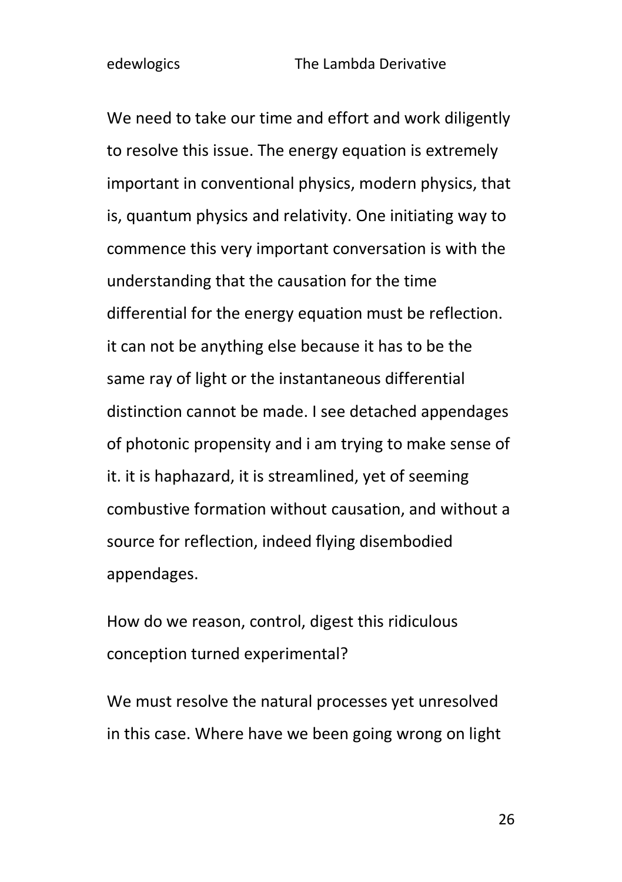We need to take our time and effort and work diligently to resolve this issue. The energy equation is extremely important in conventional physics, modern physics, that is, quantum physics and relativity. One initiating way to commence this very important conversation is with the understanding that the causation for the time differential for the energy equation must be reflection. it can not be anything else because it has to be the same ray of light or the instantaneous differential distinction cannot be made. I see detached appendages of photonic propensity and i am trying to make sense of it. it is haphazard, it is streamlined, yet of seeming combustive formation without causation, and without a source for reflection, indeed flying disembodied appendages.

How do we reason, control, digest this ridiculous conception turned experimental?

We must resolve the natural processes yet unresolved in this case. Where have we been going wrong on light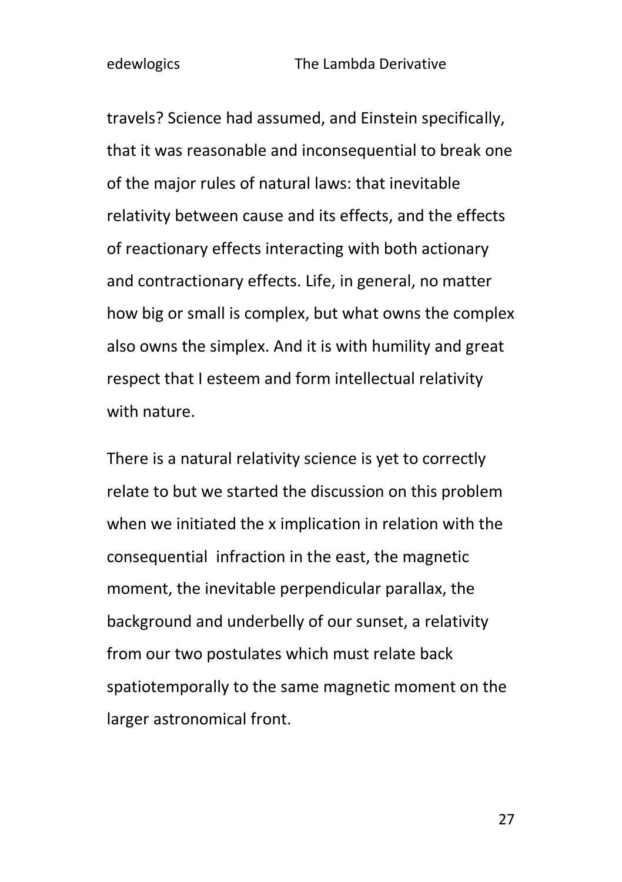travels? Science had assumed, and Einstein specifically, that it was reasonable and inconsequential to break one of the major rules of natural laws: that inevitable relativity between cause and its effects, and the effects of reactionary effects interacting with both actionary and contractionary effects. Life, in general, no matter how big or small is complex, but what owns the complex also owns the simplex. And it is with humility and great respect that I esteem and form intellectual relativity with nature.

There is a natural relativity science is yet to correctly relate to but we started the discussion on this problem when we initiated the x implication in relation with the consequential infraction in the east, the magnetic moment, the inevitable perpendicular parallax, the background and underbelly of our sunset, a relativity from our two postulates which must relate back spatiotemporally to the same magnetic moment on the larger astronomical front.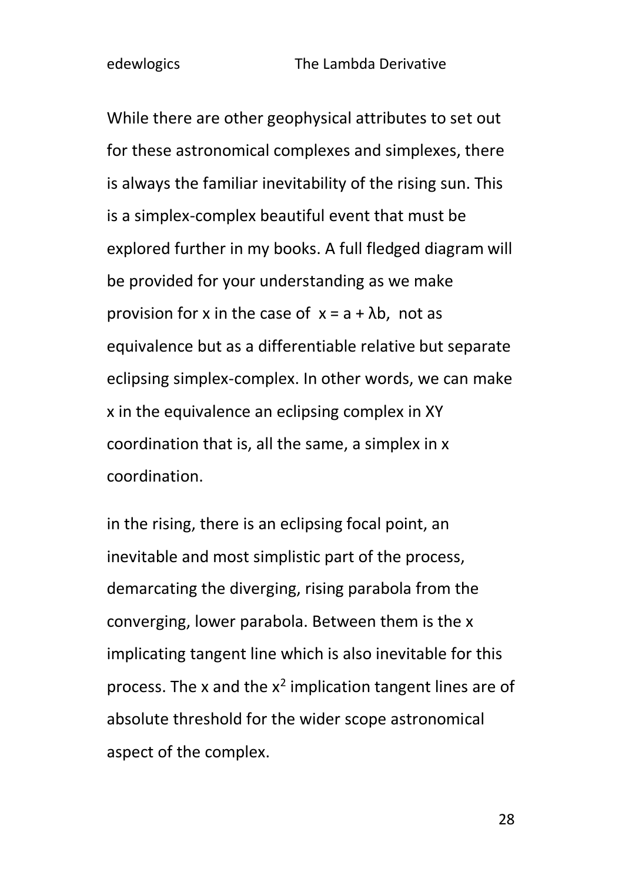While there are other geophysical attributes to set out for these astronomical complexes and simplexes, there is always the familiar inevitability of the rising sun. This is a simplex-complex beautiful event that must be explored further in my books. A full fledged diagram will be provided for your understanding as we make provision for x in the case of  $x = a + \lambda b$ , not as equivalence but as a differentiable relative but separate eclipsing simplex-complex. In other words, we can make x in the equivalence an eclipsing complex in XY coordination that is, all the same, a simplex in x coordination.

in the rising, there is an eclipsing focal point, an inevitable and most simplistic part of the process, demarcating the diverging, rising parabola from the converging, lower parabola. Between them is the x implicating tangent line which is also inevitable for this process. The x and the  $x^2$  implication tangent lines are of absolute threshold for the wider scope astronomical aspect of the complex.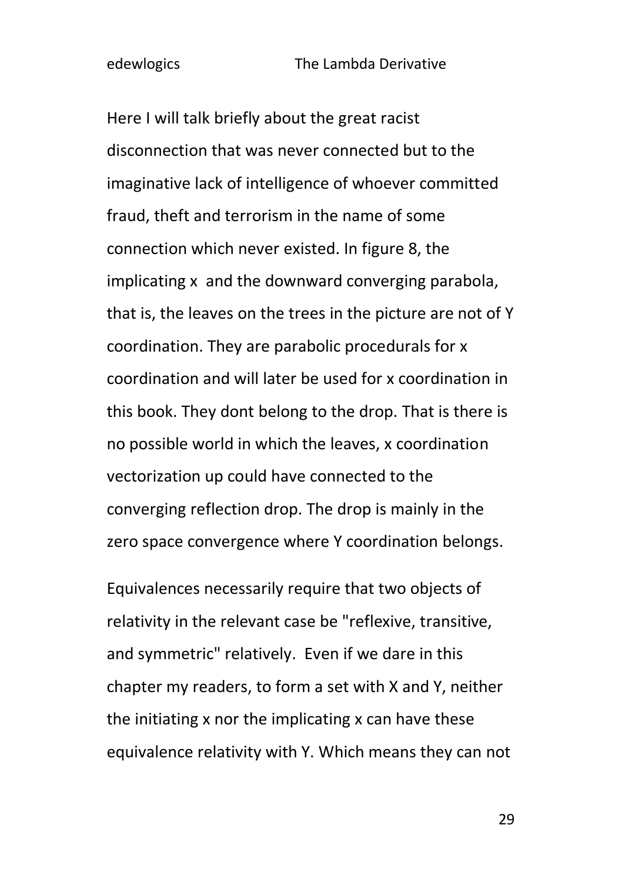Here I will talk briefly about the great racist disconnection that was never connected but to the imaginative lack of intelligence of whoever committed fraud, theft and terrorism in the name of some connection which never existed. In figure 8, the implicating x and the downward converging parabola, that is, the leaves on the trees in the picture are not of Y coordination. They are parabolic procedurals for x coordination and will later be used for x coordination in this book. They dont belong to the drop. That is there is no possible world in which the leaves, x coordination vectorization up could have connected to the converging reflection drop. The drop is mainly in the zero space convergence where Y coordination belongs.

Equivalences necessarily require that two objects of relativity in the relevant case be "reflexive, transitive, and symmetric" relatively. Even if we dare in this chapter my readers, to form a set with X and Y, neither the initiating x nor the implicating x can have these equivalence relativity with Y. Which means they can not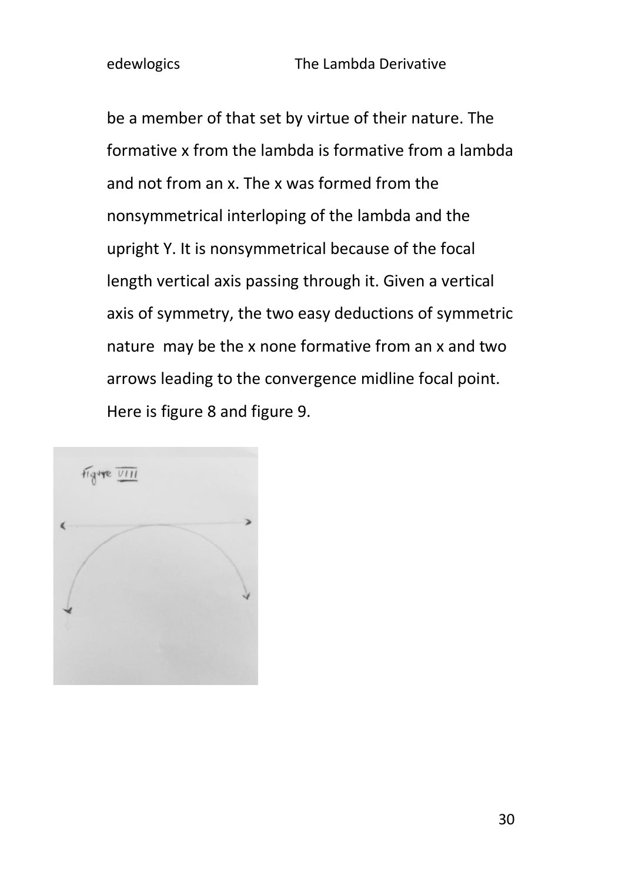be a member of that set by virtue of their nature. The formative x from the lambda is formative from a lambda and not from an x. The x was formed from the nonsymmetrical interloping of the lambda and the upright Y. It is nonsymmetrical because of the focal length vertical axis passing through it. Given a vertical axis of symmetry, the two easy deductions of symmetric nature may be the x none formative from an x and two arrows leading to the convergence midline focal point. Here is figure 8 and figure 9.

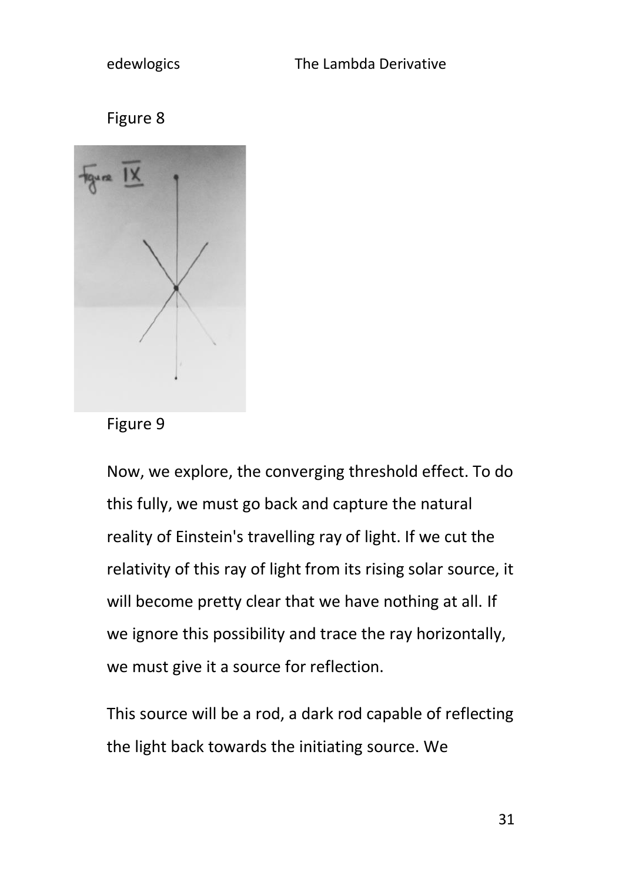

Figure 9

Now, we explore, the converging threshold effect. To do this fully, we must go back and capture the natural reality of Einstein's travelling ray of light. If we cut the relativity of this ray of light from its rising solar source, it will become pretty clear that we have nothing at all. If we ignore this possibility and trace the ray horizontally, we must give it a source for reflection.

This source will be a rod, a dark rod capable of reflecting the light back towards the initiating source. We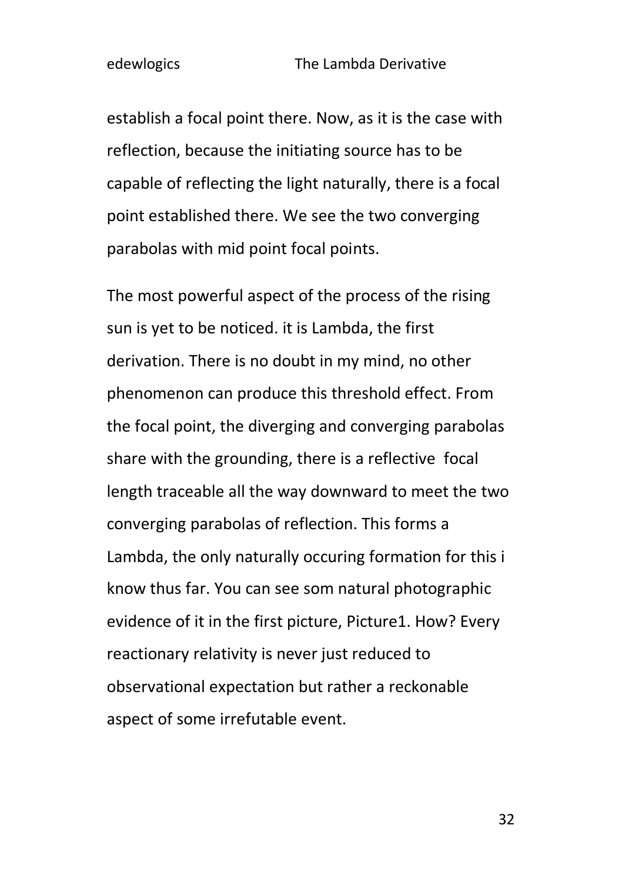establish a focal point there. Now, as it is the case with reflection, because the initiating source has to be capable of reflecting the light naturally, there is a focal point established there. We see the two converging parabolas with mid point focal points.

The most powerful aspect of the process of the rising sun is yet to be noticed. it is Lambda, the first derivation. There is no doubt in my mind, no other phenomenon can produce this threshold effect. From the focal point, the diverging and converging parabolas share with the grounding, there is a reflective focal length traceable all the way downward to meet the two converging parabolas of reflection. This forms a Lambda, the only naturally occuring formation for this i know thus far. You can see som natural photographic evidence of it in the first picture, Picture1. How? Every reactionary relativity is never just reduced to observational expectation but rather a reckonable aspect of some irrefutable event.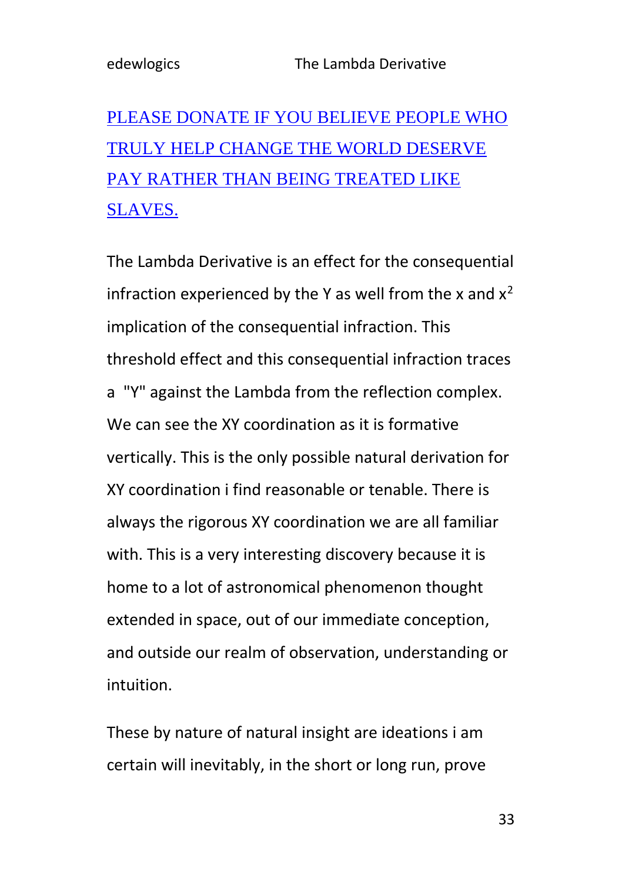# [PLEASE DONATE IF YOU BELIEVE PEOPLE WHO](https://www.paypal.com/donate/?hosted_button_id=R8JW8VU5J2GE8)  [TRULY HELP CHANGE THE WORLD DESERVE](https://www.paypal.com/donate/?hosted_button_id=R8JW8VU5J2GE8)  [PAY RATHER THAN BEING TREATED LIKE](https://www.paypal.com/donate/?hosted_button_id=R8JW8VU5J2GE8)  [SLAVES.](https://www.paypal.com/donate/?hosted_button_id=R8JW8VU5J2GE8)

The Lambda Derivative is an effect for the consequential infraction experienced by the Y as well from the x and  $x^2$ implication of the consequential infraction. This threshold effect and this consequential infraction traces a "Y" against the Lambda from the reflection complex. We can see the XY coordination as it is formative vertically. This is the only possible natural derivation for XY coordination i find reasonable or tenable. There is always the rigorous XY coordination we are all familiar with. This is a very interesting discovery because it is home to a lot of astronomical phenomenon thought extended in space, out of our immediate conception, and outside our realm of observation, understanding or intuition.

These by nature of natural insight are ideations i am certain will inevitably, in the short or long run, prove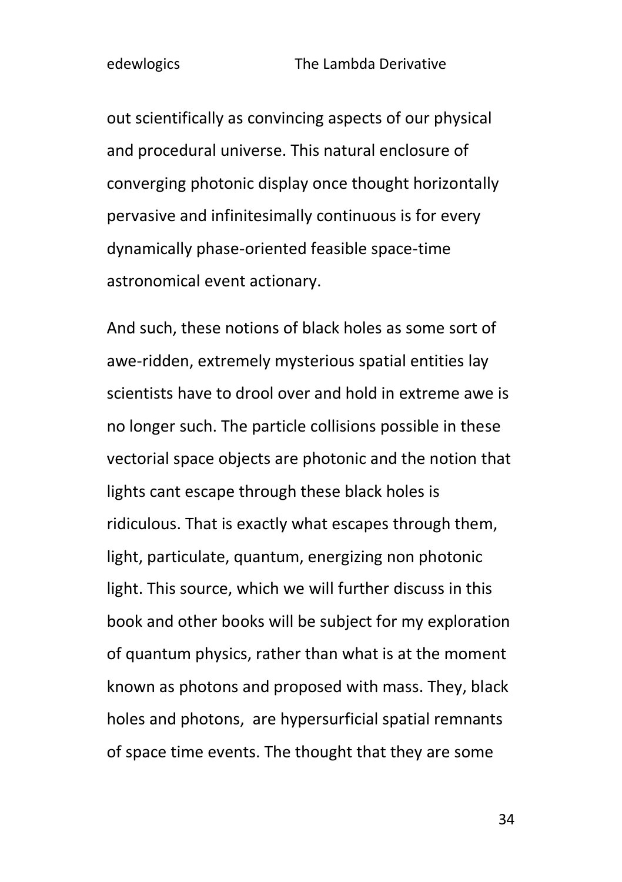out scientifically as convincing aspects of our physical and procedural universe. This natural enclosure of converging photonic display once thought horizontally pervasive and infinitesimally continuous is for every dynamically phase-oriented feasible space-time astronomical event actionary.

And such, these notions of black holes as some sort of awe-ridden, extremely mysterious spatial entities lay scientists have to drool over and hold in extreme awe is no longer such. The particle collisions possible in these vectorial space objects are photonic and the notion that lights cant escape through these black holes is ridiculous. That is exactly what escapes through them, light, particulate, quantum, energizing non photonic light. This source, which we will further discuss in this book and other books will be subject for my exploration of quantum physics, rather than what is at the moment known as photons and proposed with mass. They, black holes and photons, are hypersurficial spatial remnants of space time events. The thought that they are some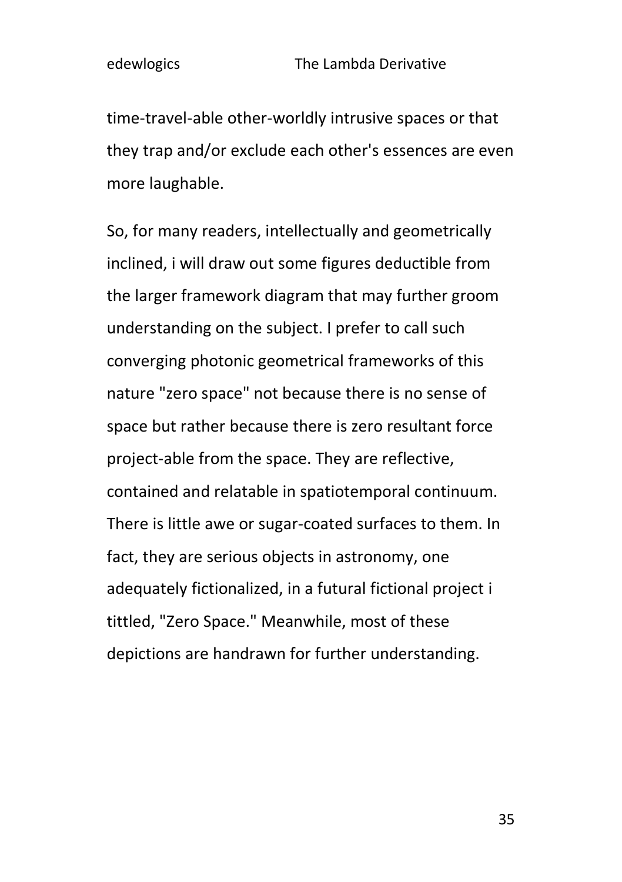time-travel-able other-worldly intrusive spaces or that they trap and/or exclude each other's essences are even more laughable.

So, for many readers, intellectually and geometrically inclined, i will draw out some figures deductible from the larger framework diagram that may further groom understanding on the subject. I prefer to call such converging photonic geometrical frameworks of this nature "zero space" not because there is no sense of space but rather because there is zero resultant force project-able from the space. They are reflective, contained and relatable in spatiotemporal continuum. There is little awe or sugar-coated surfaces to them. In fact, they are serious objects in astronomy, one adequately fictionalized, in a futural fictional project i tittled, "Zero Space." Meanwhile, most of these depictions are handrawn for further understanding.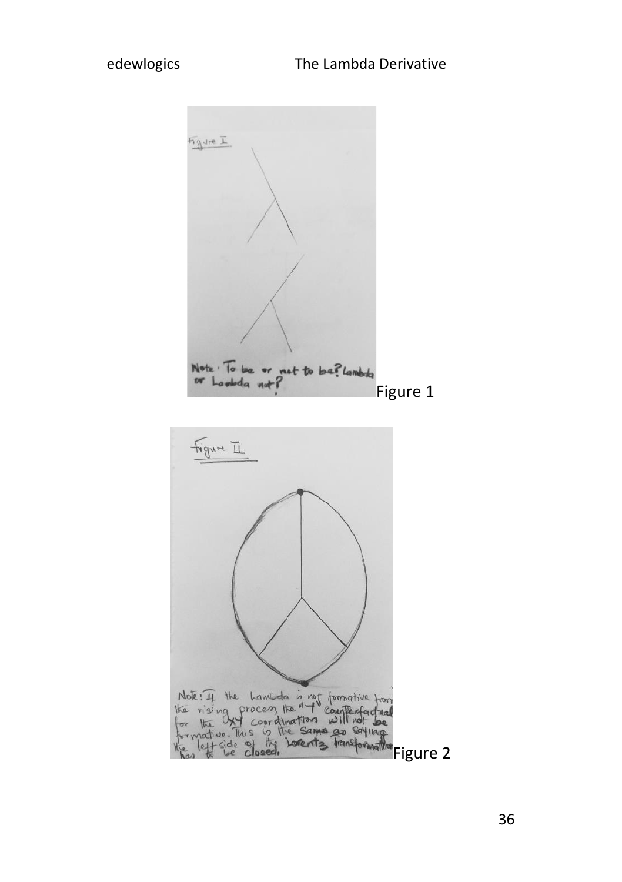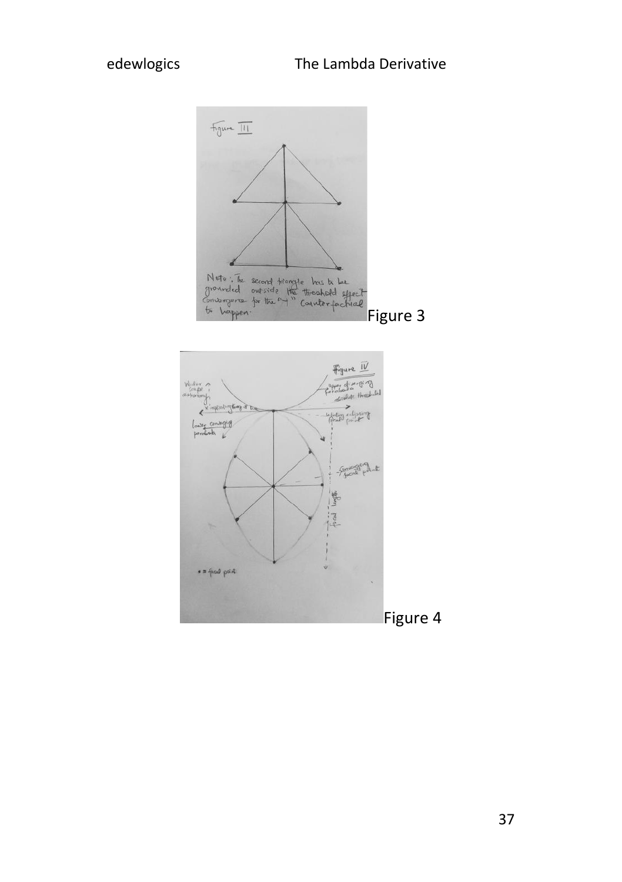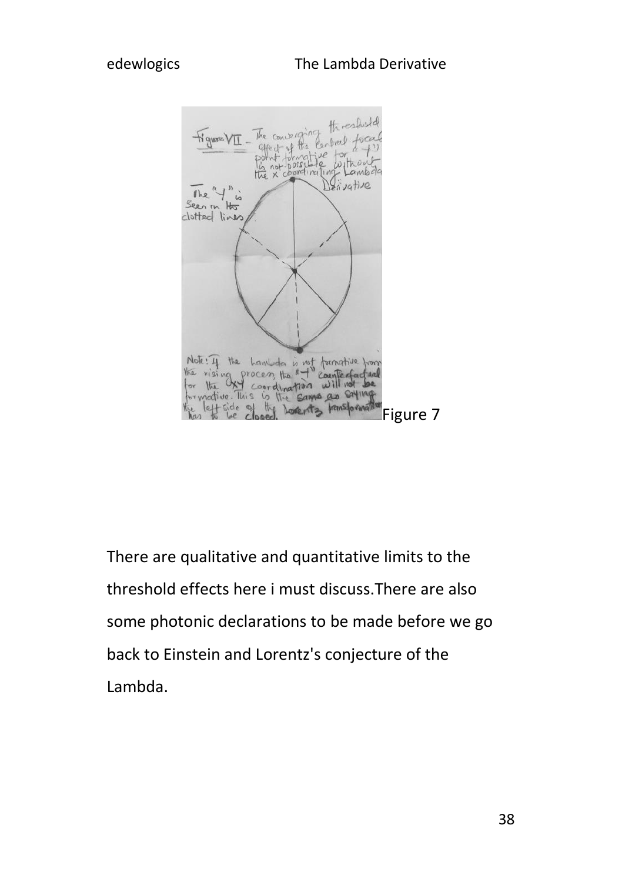

There are qualitative and quantitative limits to the threshold effects here i must discuss.There are also some photonic declarations to be made before we go back to Einstein and Lorentz's conjecture of the Lambda.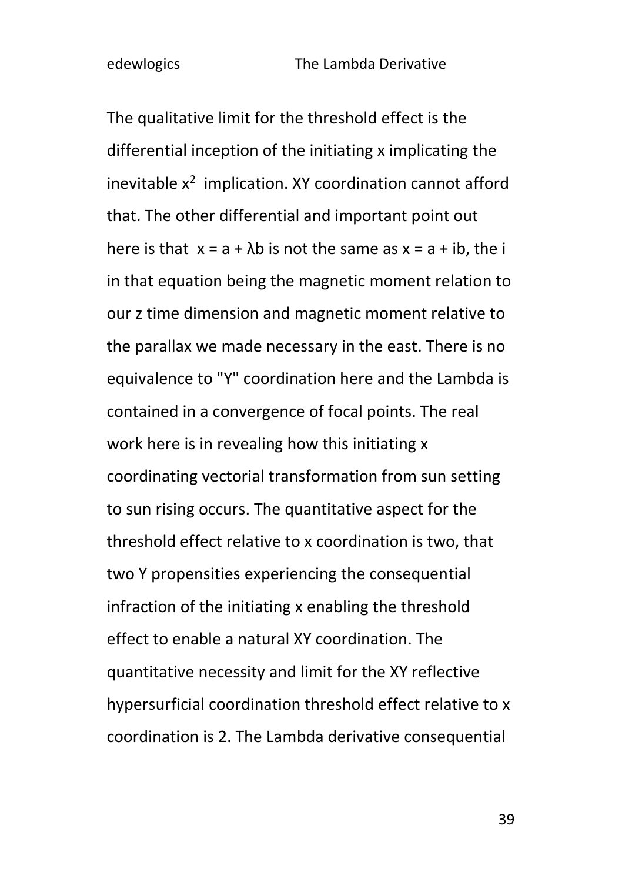The qualitative limit for the threshold effect is the differential inception of the initiating x implicating the inevitable  $x^2$  implication. XY coordination cannot afford that. The other differential and important point out here is that  $x = a + \lambda b$  is not the same as  $x = a + ib$ , the i in that equation being the magnetic moment relation to our z time dimension and magnetic moment relative to the parallax we made necessary in the east. There is no equivalence to "Y" coordination here and the Lambda is contained in a convergence of focal points. The real work here is in revealing how this initiating x coordinating vectorial transformation from sun setting to sun rising occurs. The quantitative aspect for the threshold effect relative to x coordination is two, that two Y propensities experiencing the consequential infraction of the initiating x enabling the threshold effect to enable a natural XY coordination. The quantitative necessity and limit for the XY reflective hypersurficial coordination threshold effect relative to x coordination is 2. The Lambda derivative consequential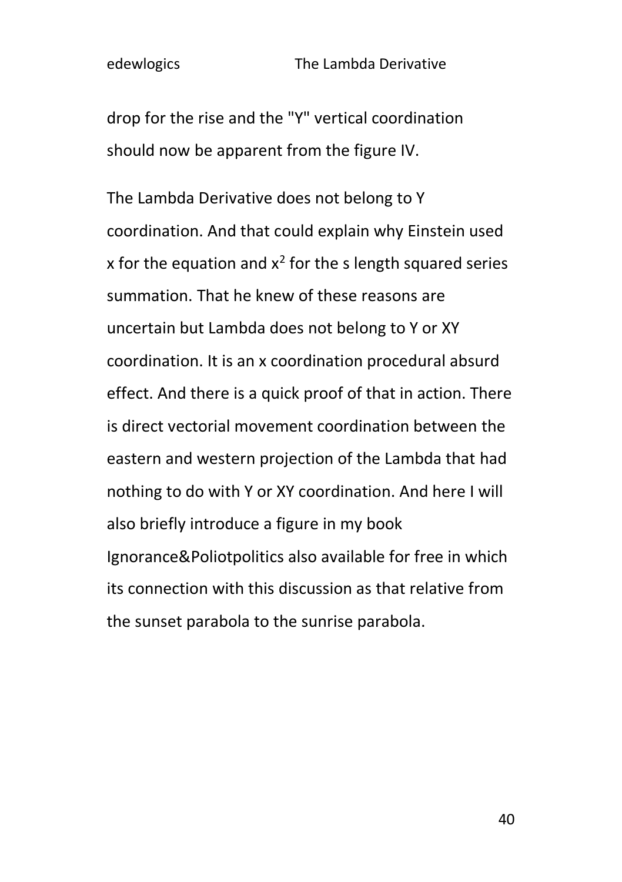drop for the rise and the "Y" vertical coordination should now be apparent from the figure IV.

The Lambda Derivative does not belong to Y coordination. And that could explain why Einstein used x for the equation and  $x^2$  for the s length squared series summation. That he knew of these reasons are uncertain but Lambda does not belong to Y or XY coordination. It is an x coordination procedural absurd effect. And there is a quick proof of that in action. There is direct vectorial movement coordination between the eastern and western projection of the Lambda that had nothing to do with Y or XY coordination. And here I will also briefly introduce a figure in my book Ignorance&Poliotpolitics also available for free in which its connection with this discussion as that relative from the sunset parabola to the sunrise parabola.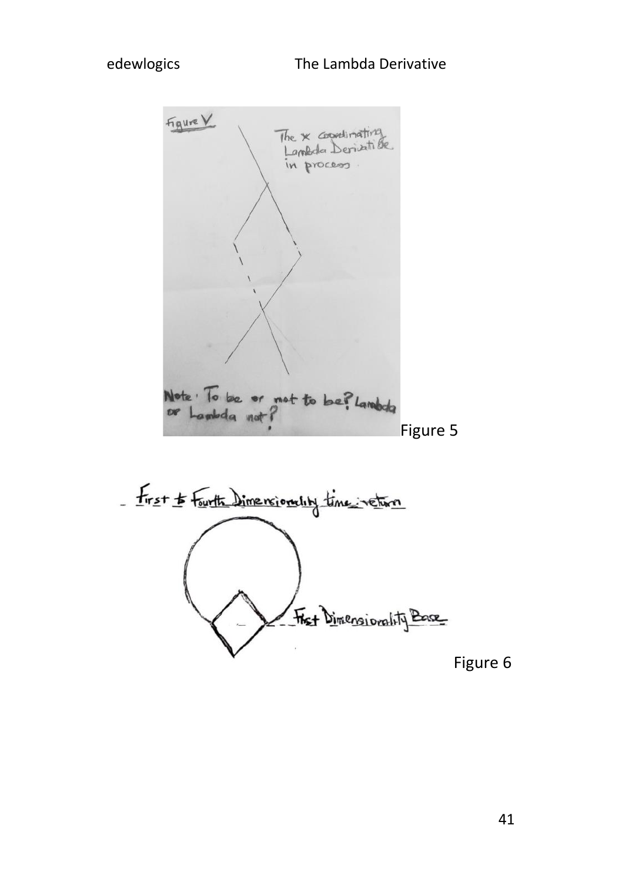Figure V The **x** coordinating in process Note: To be or not to be? Lambda<br>or Lambda not? Figure 5 First to Fairth Dimensionality time instrum Fixt Dimensionality Base Figure 6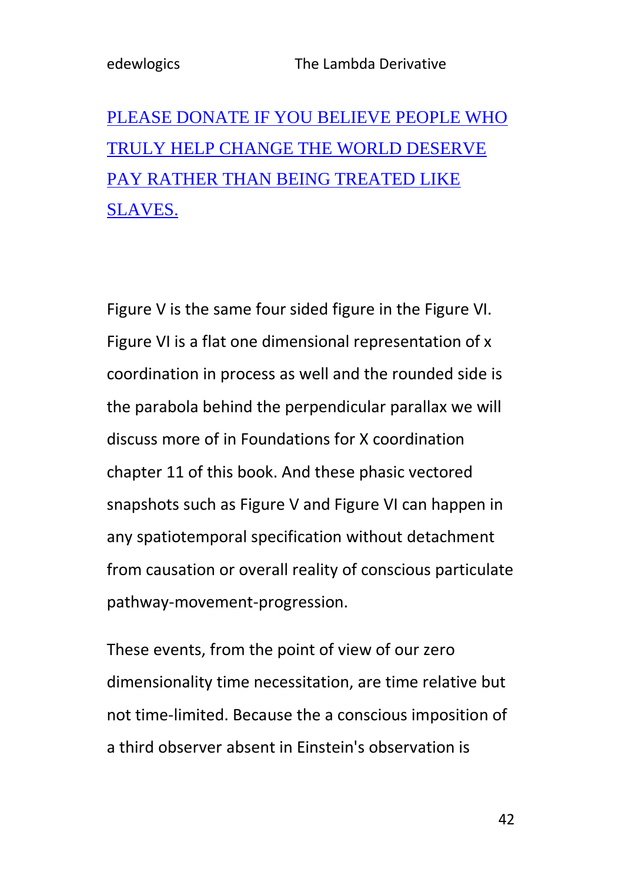# [PLEASE DONATE IF YOU BELIEVE PEOPLE WHO](https://www.paypal.com/donate/?hosted_button_id=R8JW8VU5J2GE8)  [TRULY HELP CHANGE THE WORLD DESERVE](https://www.paypal.com/donate/?hosted_button_id=R8JW8VU5J2GE8)  [PAY RATHER THAN BEING TREATED LIKE](https://www.paypal.com/donate/?hosted_button_id=R8JW8VU5J2GE8)  [SLAVES.](https://www.paypal.com/donate/?hosted_button_id=R8JW8VU5J2GE8)

Figure V is the same four sided figure in the Figure VI. Figure VI is a flat one dimensional representation of x coordination in process as well and the rounded side is the parabola behind the perpendicular parallax we will discuss more of in Foundations for X coordination chapter 11 of this book. And these phasic vectored snapshots such as Figure V and Figure VI can happen in any spatiotemporal specification without detachment from causation or overall reality of conscious particulate pathway-movement-progression.

These events, from the point of view of our zero dimensionality time necessitation, are time relative but not time-limited. Because the a conscious imposition of a third observer absent in Einstein's observation is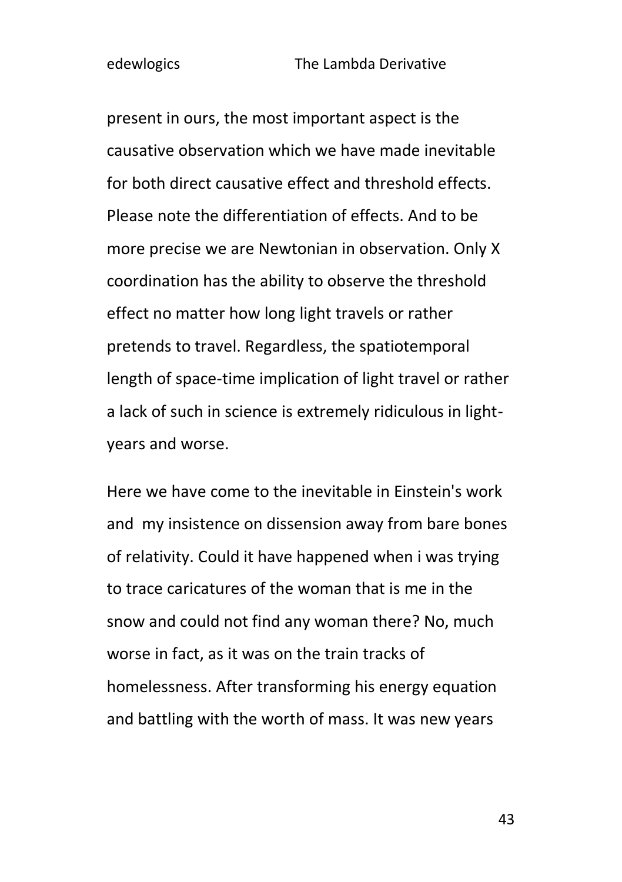present in ours, the most important aspect is the causative observation which we have made inevitable for both direct causative effect and threshold effects. Please note the differentiation of effects. And to be more precise we are Newtonian in observation. Only X coordination has the ability to observe the threshold effect no matter how long light travels or rather pretends to travel. Regardless, the spatiotemporal length of space-time implication of light travel or rather a lack of such in science is extremely ridiculous in lightyears and worse.

Here we have come to the inevitable in Einstein's work and my insistence on dissension away from bare bones of relativity. Could it have happened when i was trying to trace caricatures of the woman that is me in the snow and could not find any woman there? No, much worse in fact, as it was on the train tracks of homelessness. After transforming his energy equation and battling with the worth of mass. It was new years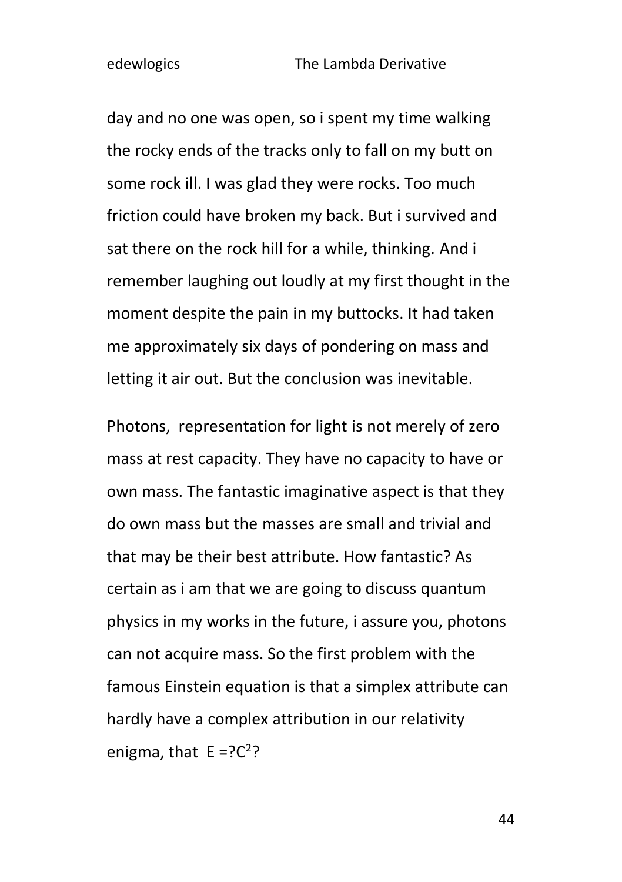day and no one was open, so i spent my time walking the rocky ends of the tracks only to fall on my butt on some rock ill. I was glad they were rocks. Too much friction could have broken my back. But i survived and sat there on the rock hill for a while, thinking. And i remember laughing out loudly at my first thought in the moment despite the pain in my buttocks. It had taken me approximately six days of pondering on mass and letting it air out. But the conclusion was inevitable.

Photons, representation for light is not merely of zero mass at rest capacity. They have no capacity to have or own mass. The fantastic imaginative aspect is that they do own mass but the masses are small and trivial and that may be their best attribute. How fantastic? As certain as i am that we are going to discuss quantum physics in my works in the future, i assure you, photons can not acquire mass. So the first problem with the famous Einstein equation is that a simplex attribute can hardly have a complex attribution in our relativity enigma, that  $E = ?C<sup>2</sup>$ ?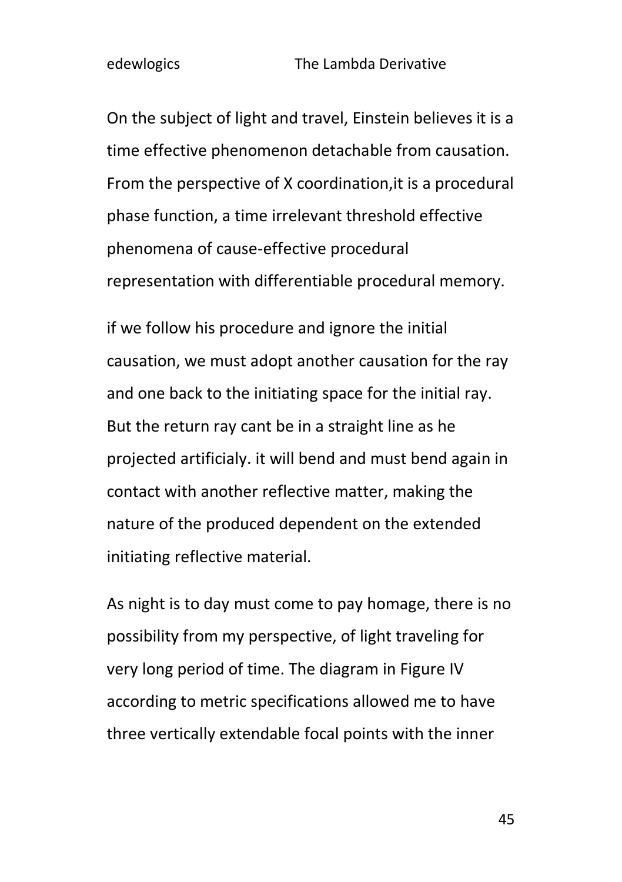On the subject of light and travel, Einstein believes it is a time effective phenomenon detachable from causation. From the perspective of X coordination,it is a procedural phase function, a time irrelevant threshold effective phenomena of cause-effective procedural representation with differentiable procedural memory.

if we follow his procedure and ignore the initial causation, we must adopt another causation for the ray and one back to the initiating space for the initial ray. But the return ray cant be in a straight line as he projected artificialy. it will bend and must bend again in contact with another reflective matter, making the nature of the produced dependent on the extended initiating reflective material.

As night is to day must come to pay homage, there is no possibility from my perspective, of light traveling for very long period of time. The diagram in Figure IV according to metric specifications allowed me to have three vertically extendable focal points with the inner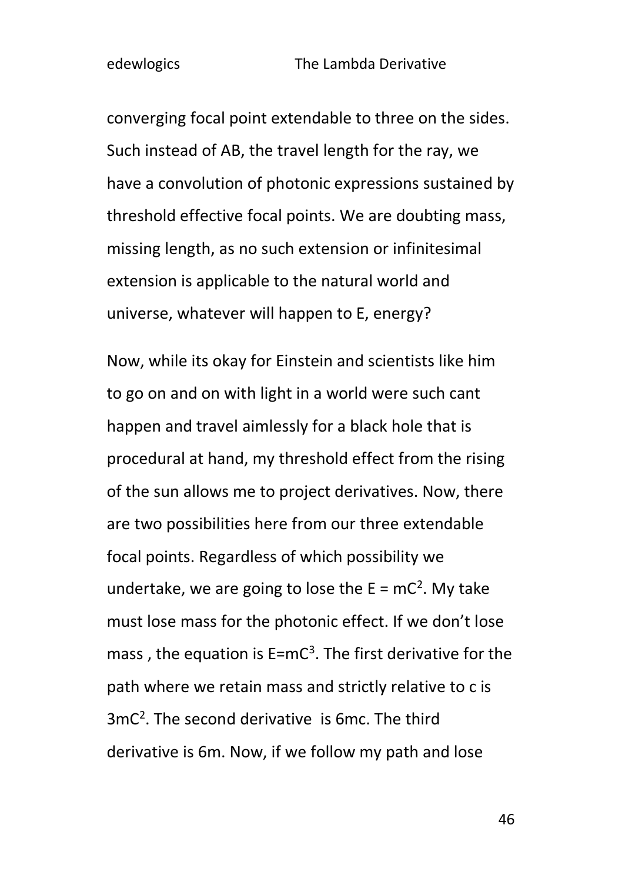converging focal point extendable to three on the sides. Such instead of AB, the travel length for the ray, we have a convolution of photonic expressions sustained by threshold effective focal points. We are doubting mass, missing length, as no such extension or infinitesimal extension is applicable to the natural world and universe, whatever will happen to E, energy?

Now, while its okay for Einstein and scientists like him to go on and on with light in a world were such cant happen and travel aimlessly for a black hole that is procedural at hand, my threshold effect from the rising of the sun allows me to project derivatives. Now, there are two possibilities here from our three extendable focal points. Regardless of which possibility we undertake, we are going to lose the  $E = mc^2$ . My take must lose mass for the photonic effect. If we don't lose mass, the equation is  $E=mc^3$ . The first derivative for the path where we retain mass and strictly relative to c is 3mC<sup>2</sup> . The second derivative is 6mc. The third derivative is 6m. Now, if we follow my path and lose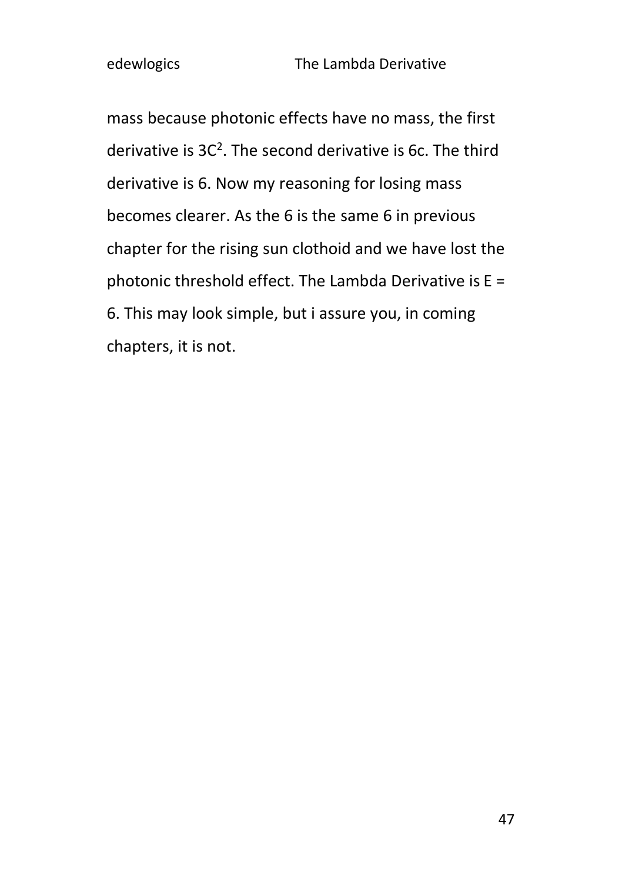mass because photonic effects have no mass, the first derivative is  $3C^2$ . The second derivative is 6c. The third derivative is 6. Now my reasoning for losing mass becomes clearer. As the 6 is the same 6 in previous chapter for the rising sun clothoid and we have lost the photonic threshold effect. The Lambda Derivative is E = 6. This may look simple, but i assure you, in coming chapters, it is not.